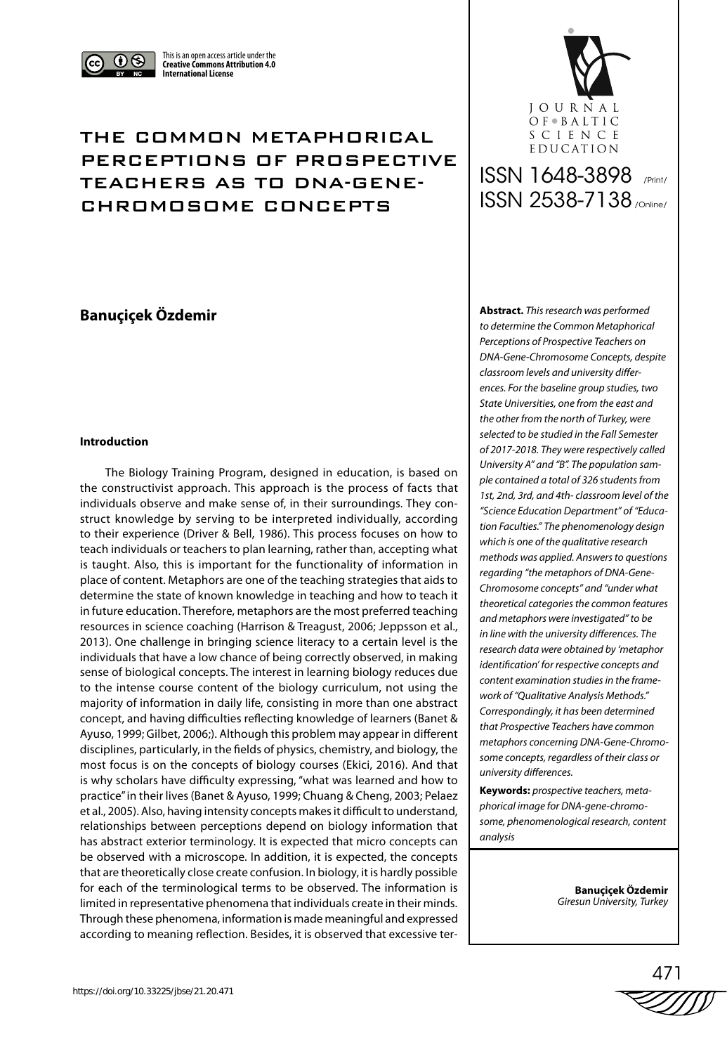

This is an open access article under the **Creative Commons Attribution 4.0 International License**

## THE COMMON METAPHORICAL PERCEPTIONS OF PROSPECTIVE TEACHERS AS TO DNA-GENE-CHROMOSOME CONCEPTS

## **Banuçiçek Özdemir**

## **Introduction**

The Biology Training Program, designed in education, is based on the constructivist approach. This approach is the process of facts that individuals observe and make sense of, in their surroundings. They construct knowledge by serving to be interpreted individually, according to their experience (Driver & Bell, 1986). This process focuses on how to teach individuals or teachers to plan learning, rather than, accepting what is taught. Also, this is important for the functionality of information in place of content. Metaphors are one of the teaching strategies that aids to determine the state of known knowledge in teaching and how to teach it in future education. Therefore, metaphors are the most preferred teaching resources in science coaching (Harrison & Treagust, 2006; Jeppsson et al., 2013). One challenge in bringing science literacy to a certain level is the individuals that have a low chance of being correctly observed, in making sense of biological concepts. The interest in learning biology reduces due to the intense course content of the biology curriculum, not using the majority of information in daily life, consisting in more than one abstract concept, and having difficulties reflecting knowledge of learners (Banet & Ayuso, 1999; Gilbet, 2006;). Although this problem may appear in different disciplines, particularly, in the fields of physics, chemistry, and biology, the most focus is on the concepts of biology courses (Ekici, 2016). And that is why scholars have difficulty expressing, "what was learned and how to practice" in their lives (Banet & Ayuso, 1999; Chuang & Cheng, 2003; Pelaez et al., 2005). Also, having intensity concepts makes it difficult to understand, relationships between perceptions depend on biology information that has abstract exterior terminology. It is expected that micro concepts can be observed with a microscope. In addition, it is expected, the concepts that are theoretically close create confusion. In biology, it is hardly possible for each of the terminological terms to be observed. The information is limited in representative phenomena that individuals create in their minds. Through these phenomena, information is made meaningful and expressed according to meaning reflection. Besides, it is observed that excessive ter-



# ISSN 1648-3898 /Print/ ISSN 2538-7138 /Online/

**Abstract.** *This research was performed to determine the Common Metaphorical Perceptions of Prospective Teachers on DNA-Gene-Chromosome Concepts, despite classroom levels and university differences. For the baseline group studies, two State Universities, one from the east and the other from the north of Turkey, were selected to be studied in the Fall Semester of 2017-2018. They were respectively called University A" and "B". The population sample contained a total of 326 students from 1st, 2nd, 3rd, and 4th- classroom level of the "Science Education Department" of "Education Faculties." The phenomenology design which is one of the qualitative research methods was applied. Answers to questions regarding "the metaphors of DNA-Gene-Chromosome concepts" and "under what theoretical categories the common features and metaphors were investigated" to be in line with the university differences. The research data were obtained by 'metaphor identification' for respective concepts and content examination studies in the framework of "Qualitative Analysis Methods." Correspondingly, it has been determined that Prospective Teachers have common metaphors concerning DNA-Gene-Chromosome concepts, regardless of their class or university differences.*

**Keywords:** *prospective teachers, metaphorical image for DNA-gene-chromosome, phenomenological research, content analysis*

> **Banuçiçek Özdemir**  *Giresun University, Turkey*

471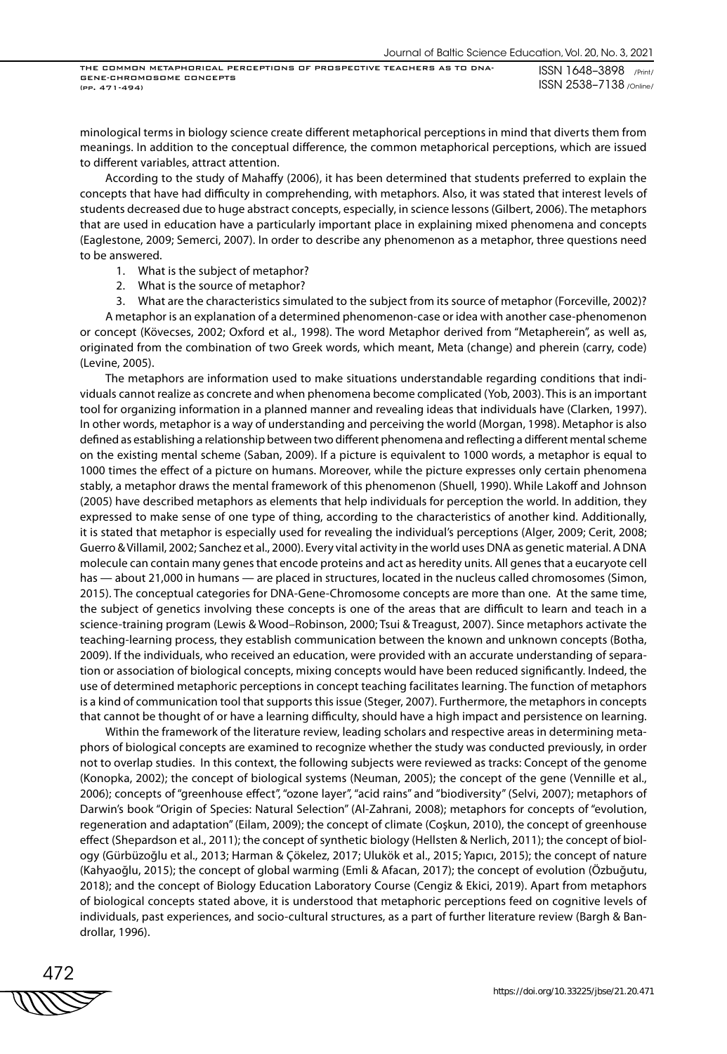ISSN 1648–3898 /Print/ ISSN 2538–7138 /Online/

minological terms in biology science create different metaphorical perceptions in mind that diverts them from meanings. In addition to the conceptual difference, the common metaphorical perceptions, which are issued to different variables, attract attention.

According to the study of Mahaffy (2006), it has been determined that students preferred to explain the concepts that have had difficulty in comprehending, with metaphors. Also, it was stated that interest levels of students decreased due to huge abstract concepts, especially, in science lessons (Gilbert, 2006). The metaphors that are used in education have a particularly important place in explaining mixed phenomena and concepts (Eaglestone, 2009; Semerci, 2007). In order to describe any phenomenon as a metaphor, three questions need to be answered.

- 1. What is the subject of metaphor?
- 2. What is the source of metaphor?
- 3. What are the characteristics simulated to the subject from its source of metaphor (Forceville, 2002)?

A metaphor is an explanation of a determined phenomenon-case or idea with another case-phenomenon or concept (Kövecses, 2002; Oxford et al., 1998). The word Metaphor derived from "Metapherein", as well as, originated from the combination of two Greek words, which meant, Meta (change) and pherein (carry, code) (Levine, 2005).

The metaphors are information used to make situations understandable regarding conditions that individuals cannot realize as concrete and when phenomena become complicated (Yob, 2003). This is an important tool for organizing information in a planned manner and revealing ideas that individuals have (Clarken, 1997). In other words, metaphor is a way of understanding and perceiving the world (Morgan, 1998). Metaphor is also defined as establishing a relationship between two different phenomena and reflecting a different mental scheme on the existing mental scheme (Saban, 2009). If a picture is equivalent to 1000 words, a metaphor is equal to 1000 times the effect of a picture on humans. Moreover, while the picture expresses only certain phenomena stably, a metaphor draws the mental framework of this phenomenon (Shuell, 1990). While Lakoff and Johnson (2005) have described metaphors as elements that help individuals for perception the world. In addition, they expressed to make sense of one type of thing, according to the characteristics of another kind. Additionally, it is stated that metaphor is especially used for revealing the individual's perceptions (Alger, 2009; Cerit, 2008; Guerro & Villamil, 2002; Sanchez et al., 2000). Every vital activity in the world uses DNA as genetic material. A DNA molecule can contain many genes that encode proteins and act as heredity units. All genes that a eucaryote cell has — about 21,000 in humans — are placed in structures, located in the nucleus called chromosomes (Simon, 2015). The conceptual categories for DNA-Gene-Chromosome concepts are more than one. At the same time, the subject of genetics involving these concepts is one of the areas that are difficult to learn and teach in a science-training program (Lewis & Wood–Robinson, 2000; Tsui & Treagust, 2007). Since metaphors activate the teaching-learning process, they establish communication between the known and unknown concepts (Botha, 2009). If the individuals, who received an education, were provided with an accurate understanding of separation or association of biological concepts, mixing concepts would have been reduced significantly. Indeed, the use of determined metaphoric perceptions in concept teaching facilitates learning. The function of metaphors is a kind of communication tool that supports this issue (Steger, 2007). Furthermore, the metaphors in concepts that cannot be thought of or have a learning difficulty, should have a high impact and persistence on learning.

Within the framework of the literature review, leading scholars and respective areas in determining metaphors of biological concepts are examined to recognize whether the study was conducted previously, in order not to overlap studies. In this context, the following subjects were reviewed as tracks: Concept of the genome (Konopka, 2002); the concept of biological systems (Neuman, 2005); the concept of the gene (Vennille et al., 2006); concepts of "greenhouse effect", "ozone layer", "acid rains" and "biodiversity" (Selvi, 2007); metaphors of Darwin's book "Origin of Species: Natural Selection" (Al-Zahrani, 2008); metaphors for concepts of "evolution, regeneration and adaptation" (Eilam, 2009); the concept of climate (Coşkun, 2010), the concept of greenhouse effect (Shepardson et al., 2011); the concept of synthetic biology (Hellsten & Nerlich, 2011); the concept of biology (Gürbüzoğlu et al., 2013; Harman & Çökelez, 2017; Ulukök et al., 2015; Yapıcı, 2015); the concept of nature (Kahyaoğlu, 2015); the concept of global warming (Emli & Afacan, 2017); the concept of evolution (Özbuğutu, 2018); and the concept of Biology Education Laboratory Course (Cengiz & Ekici, 2019). Apart from metaphors of biological concepts stated above, it is understood that metaphoric perceptions feed on cognitive levels of individuals, past experiences, and socio-cultural structures, as a part of further literature review (Bargh & Bandrollar, 1996).

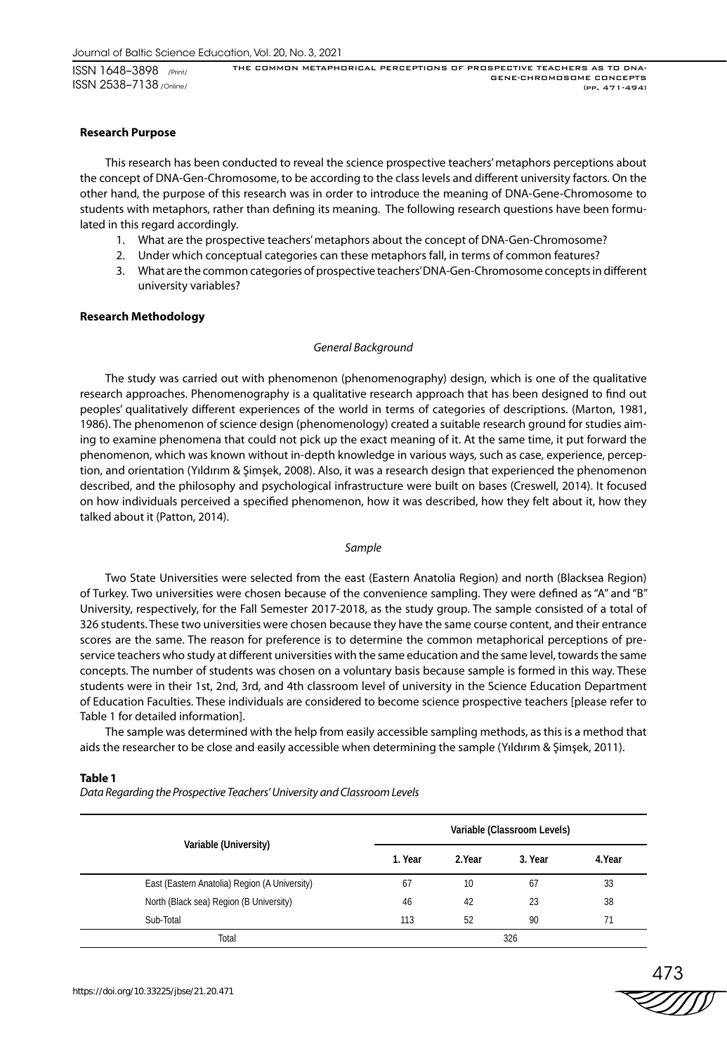ISSN 1648–3898 /Print/ ISSN 2538–7138 /Online/

## **Research Purpose**

This research has been conducted to reveal the science prospective teachers' metaphors perceptions about the concept of DNA-Gen-Chromosome, to be according to the class levels and different university factors. On the other hand, the purpose of this research was in order to introduce the meaning of DNA-Gene-Chromosome to students with metaphors, rather than defining its meaning. The following research questions have been formulated in this regard accordingly.

- 1. What are the prospective teachers' metaphors about the concept of DNA-Gen-Chromosome?
- 2. Under which conceptual categories can these metaphors fall, in terms of common features?
- 3. What are the common categories of prospective teachers' DNA-Gen-Chromosome concepts in different university variables?

## **Research Methodology**

## *General Background*

The study was carried out with phenomenon (phenomenography) design, which is one of the qualitative research approaches. Phenomenography is a qualitative research approach that has been designed to find out peoples' qualitatively different experiences of the world in terms of categories of descriptions. (Marton, 1981, 1986). The phenomenon of science design (phenomenology) created a suitable research ground for studies aiming to examine phenomena that could not pick up the exact meaning of it. At the same time, it put forward the phenomenon, which was known without in-depth knowledge in various ways, such as case, experience, perception, and orientation (Yıldırım & Şimşek, 2008). Also, it was a research design that experienced the phenomenon described, and the philosophy and psychological infrastructure were built on bases (Creswell, 2014). It focused on how individuals perceived a specified phenomenon, how it was described, how they felt about it, how they talked about it (Patton, 2014).

#### *Sample*

Two State Universities were selected from the east (Eastern Anatolia Region) and north (Blacksea Region) of Turkey. Two universities were chosen because of the convenience sampling. They were defined as "A" and "B" University, respectively, for the Fall Semester 2017-2018, as the study group. The sample consisted of a total of 326 students. These two universities were chosen because they have the same course content, and their entrance scores are the same. The reason for preference is to determine the common metaphorical perceptions of preservice teachers who study at different universities with the same education and the same level, towards the same concepts. The number of students was chosen on a voluntary basis because sample is formed in this way. These students were in their 1st, 2nd, 3rd, and 4th classroom level of university in the Science Education Department of Education Faculties. These individuals are considered to become science prospective teachers [please refer to Table 1 for detailed information].

The sample was determined with the help from easily accessible sampling methods, as this is a method that aids the researcher to be close and easily accessible when determining the sample (Yıldırım & Şimşek, 2011).

#### **Table 1**

*Data Regarding the Prospective Teachers' University and Classroom Levels*

|                                               |         |        | Variable (Classroom Levels) |        |
|-----------------------------------------------|---------|--------|-----------------------------|--------|
| Variable (University)                         | 1. Year | 2.Year | 3. Year                     | 4.Year |
| East (Eastern Anatolia) Region (A University) | 67      | 10     | 67                          | 33     |
| North (Black sea) Region (B University)       | 46      | 42     | 23                          | 38     |
| Sub-Total                                     | 113     | 52     | 90                          | 71     |
| Total                                         |         |        | 326                         |        |

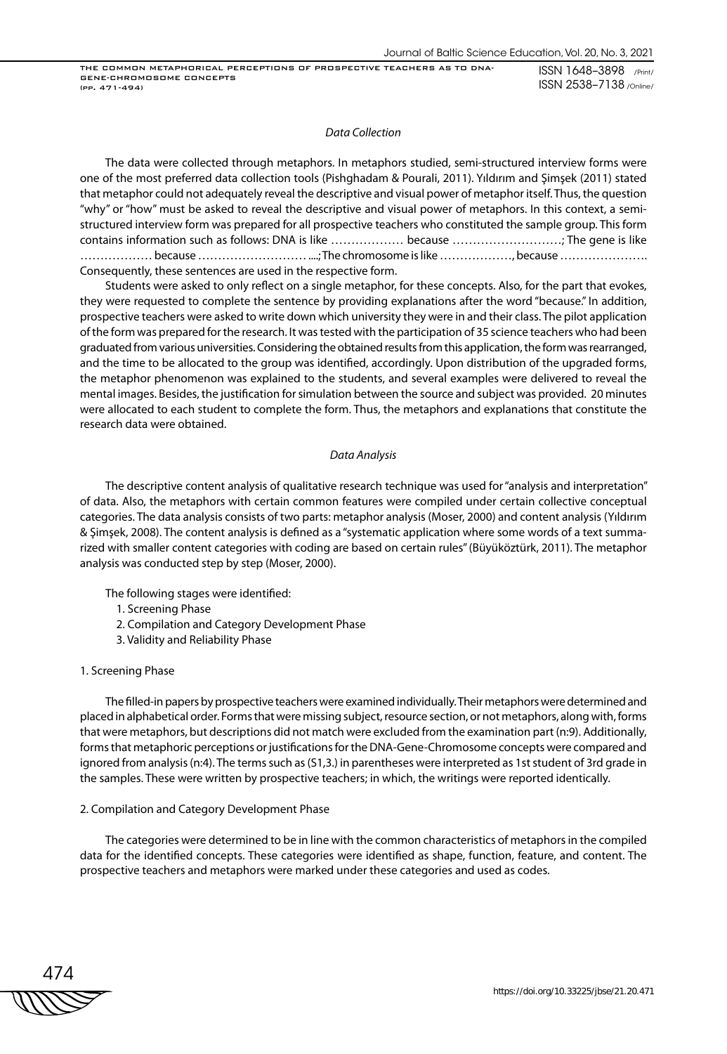ISSN 1648–3898 /Print/ ISSN 2538–7138 /Online/

#### *Data Collection*

The data were collected through metaphors. In metaphors studied, semi-structured interview forms were one of the most preferred data collection tools (Pishghadam & Pourali, 2011). Yıldırım and Şimşek (2011) stated that metaphor could not adequately reveal the descriptive and visual power of metaphor itself. Thus, the question "why" or "how" must be asked to reveal the descriptive and visual power of metaphors. In this context, a semistructured interview form was prepared for all prospective teachers who constituted the sample group. This form contains information such as follows: DNA is like ……………… because ………………………; The gene is like ……………… because ……………………… ....; The chromosome is like ………………, because …………………. Consequently, these sentences are used in the respective form.

Students were asked to only reflect on a single metaphor, for these concepts. Also, for the part that evokes, they were requested to complete the sentence by providing explanations after the word "because." In addition, prospective teachers were asked to write down which university they were in and their class. The pilot application of the form was prepared for the research. It was tested with the participation of 35 science teachers who had been graduated from various universities. Considering the obtained results from this application, the form was rearranged, and the time to be allocated to the group was identified, accordingly. Upon distribution of the upgraded forms, the metaphor phenomenon was explained to the students, and several examples were delivered to reveal the mental images. Besides, the justification for simulation between the source and subject was provided. 20 minutes were allocated to each student to complete the form. Thus, the metaphors and explanations that constitute the research data were obtained.

#### *Data Analysis*

The descriptive content analysis of qualitative research technique was used for "analysis and interpretation" of data. Also, the metaphors with certain common features were compiled under certain collective conceptual categories. The data analysis consists of two parts: metaphor analysis (Moser, 2000) and content analysis (Yıldırım & Şimşek, 2008). The content analysis is defined as a "systematic application where some words of a text summarized with smaller content categories with coding are based on certain rules" (Büyüköztürk, 2011). The metaphor analysis was conducted step by step (Moser, 2000).

The following stages were identified:

- 1. Screening Phase
- 2. Compilation and Category Development Phase
- 3. Validity and Reliability Phase

#### 1. Screening Phase

The filled-in papers by prospective teachers were examined individually. Their metaphors were determined and placed in alphabetical order. Forms that were missing subject, resource section, or not metaphors, along with, forms that were metaphors, but descriptions did not match were excluded from the examination part (n:9). Additionally, forms that metaphoric perceptions or justifications for the DNA-Gene-Chromosome concepts were compared and ignored from analysis (n:4). The terms such as (S1,3.) in parentheses were interpreted as 1st student of 3rd grade in the samples. These were written by prospective teachers; in which, the writings were reported identically.

#### 2. Compilation and Category Development Phase

The categories were determined to be in line with the common characteristics of metaphors in the compiled data for the identified concepts. These categories were identified as shape, function, feature, and content. The prospective teachers and metaphors were marked under these categories and used as codes.

474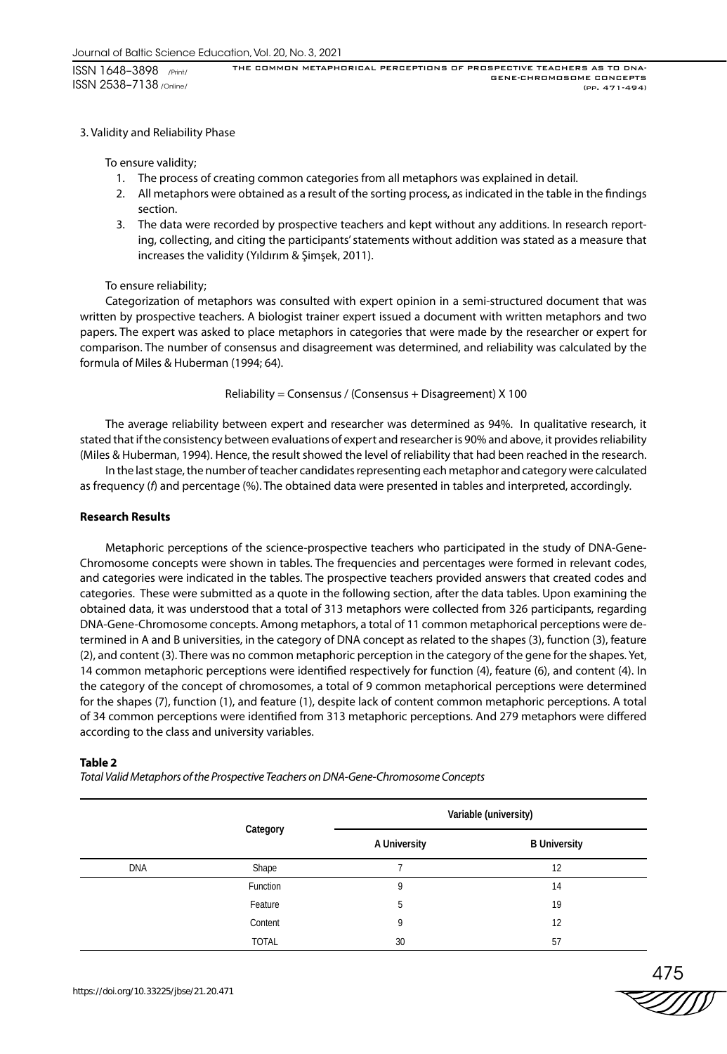## 3. Validity and Reliability Phase

To ensure validity;

- 1. The process of creating common categories from all metaphors was explained in detail.
- 2. All metaphors were obtained as a result of the sorting process, as indicated in the table in the findings section.
- 3. The data were recorded by prospective teachers and kept without any additions. In research reporting, collecting, and citing the participants' statements without addition was stated as a measure that increases the validity (Yıldırım & Şimşek, 2011).

## To ensure reliability;

Categorization of metaphors was consulted with expert opinion in a semi-structured document that was written by prospective teachers. A biologist trainer expert issued a document with written metaphors and two papers. The expert was asked to place metaphors in categories that were made by the researcher or expert for comparison. The number of consensus and disagreement was determined, and reliability was calculated by the formula of Miles & Huberman (1994; 64).

Reliability = Consensus / (Consensus + Disagreement) X 100

The average reliability between expert and researcher was determined as 94%. In qualitative research, it stated that if the consistency between evaluations of expert and researcher is 90% and above, it provides reliability (Miles & Huberman, 1994). Hence, the result showed the level of reliability that had been reached in the research.

In the last stage, the number of teacher candidates representing each metaphor and category were calculated as frequency (*f*) and percentage (%). The obtained data were presented in tables and interpreted, accordingly.

## **Research Results**

Metaphoric perceptions of the science-prospective teachers who participated in the study of DNA-Gene-Chromosome concepts were shown in tables. The frequencies and percentages were formed in relevant codes, and categories were indicated in the tables. The prospective teachers provided answers that created codes and categories. These were submitted as a quote in the following section, after the data tables. Upon examining the obtained data, it was understood that a total of 313 metaphors were collected from 326 participants, regarding DNA-Gene-Chromosome concepts. Among metaphors, a total of 11 common metaphorical perceptions were determined in A and B universities, in the category of DNA concept as related to the shapes (3), function (3), feature (2), and content (3). There was no common metaphoric perception in the category of the gene for the shapes. Yet, 14 common metaphoric perceptions were identified respectively for function (4), feature (6), and content (4). In the category of the concept of chromosomes, a total of 9 common metaphorical perceptions were determined for the shapes (7), function (1), and feature (1), despite lack of content common metaphoric perceptions. A total of 34 common perceptions were identified from 313 metaphoric perceptions. And 279 metaphors were differed according to the class and university variables.

#### **Table 2**

*Total Valid Metaphors of the Prospective Teachers on DNA-Gene-Chromosome Concepts*

|            |                   |              | Variable (university) |
|------------|-------------------|--------------|-----------------------|
|            | Category<br>Shape | A University | <b>B University</b>   |
| <b>DNA</b> |                   |              | 12                    |
|            | Function          | 9            | 14                    |
|            | Feature           | 5            | 19                    |
|            | Content           | 9            | 12                    |
|            | <b>TOTAL</b>      | 30           | 57                    |

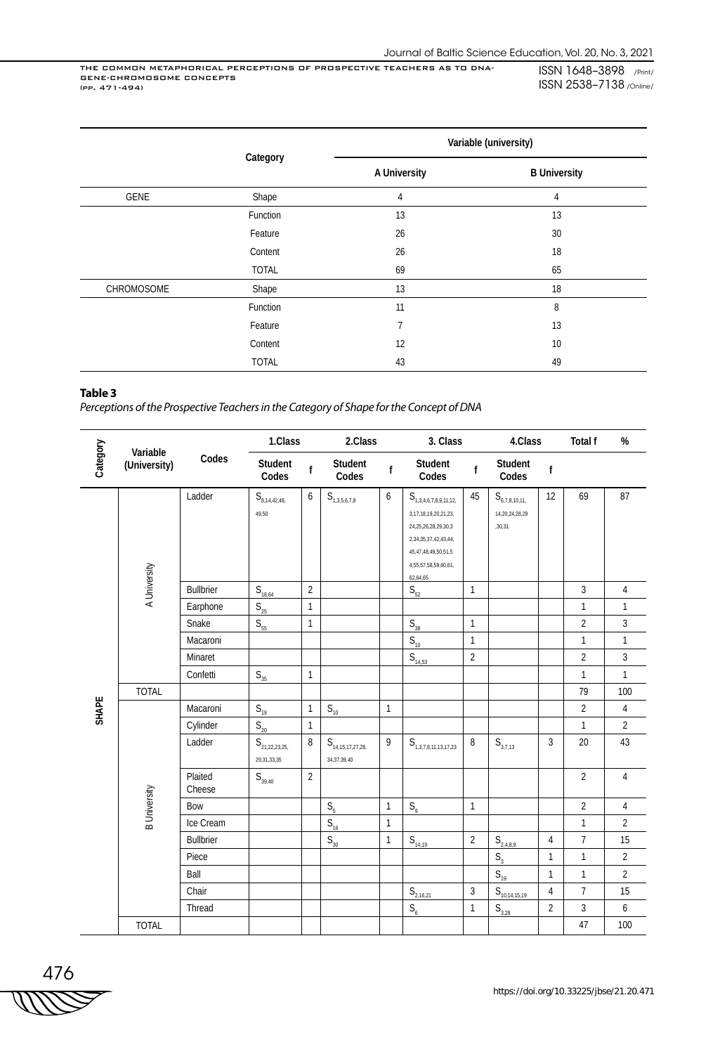ISSN 1648–3898 /Print/ ISSN 2538–7138 /Online/

|            | Category<br>Shape<br>Function<br>Feature<br>Content<br><b>TOTAL</b><br>Shape<br>Function<br>Feature |              | Variable (university) |
|------------|-----------------------------------------------------------------------------------------------------|--------------|-----------------------|
|            |                                                                                                     | A University | <b>B University</b>   |
| GENE       |                                                                                                     | 4            | 4                     |
|            |                                                                                                     | 13           | 13                    |
|            |                                                                                                     | 26           | 30                    |
|            |                                                                                                     | 26           | 18                    |
|            |                                                                                                     | 69           | 65                    |
| CHROMOSOME |                                                                                                     | 13           | 18                    |
|            |                                                                                                     | 11           | 8                     |
|            |                                                                                                     | 7            | 13                    |
|            | Content                                                                                             | 12           | 10                    |
|            | <b>TOTAL</b>                                                                                        | 43           | 49                    |

#### **Table 3**

*Perceptions of the Prospective Teachers in the Category of Shape for the Concept of DNA*

| Category<br>Variable |                     |                   | 1.Class                                                      |                | 2.Class                                                       |                  | 3. Class                                                                                                                                                                                          |                | 4.Class                                                 |                | Total f        | $\%$             |
|----------------------|---------------------|-------------------|--------------------------------------------------------------|----------------|---------------------------------------------------------------|------------------|---------------------------------------------------------------------------------------------------------------------------------------------------------------------------------------------------|----------------|---------------------------------------------------------|----------------|----------------|------------------|
|                      | (University)        | Codes             | Student<br>Codes                                             | $\mathbf{f}$   | Student<br>Codes                                              | $\mathsf{f}$     | Student<br>Codes                                                                                                                                                                                  | $\mathsf{f}$   | Student<br>Codes                                        | $\mathsf f$    |                |                  |
|                      | A University        | Ladder            | $\mathsf{S}_{\scriptscriptstyle{8,14,42,48,\atop}}$<br>49,50 | 6              | $\mathsf{S}_{\scriptscriptstyle{1,3,5,6,7,8}}$                | $\boldsymbol{6}$ | ${\sf S}_{\scriptscriptstyle 1,3,4,6,7,8,9,11,12,}$<br>3, 17, 18, 19, 20, 21, 23,<br>24, 25, 26, 28, 29, 30, 3<br>2,34,35,37,42,43,44,<br>45,47,48,49,50,51,5<br>4,55,57,58,59,60,61,<br>62,64,65 | 45             | ${\sf S}_{_{6,7,8,10,11,}}$<br>14,20,24,28,29<br>,30,31 | 12             | 69             | 87               |
|                      |                     | Bullbrier         | $S_{18,64}$                                                  | $\overline{2}$ |                                                               |                  | $\mathsf{S}_{52}$                                                                                                                                                                                 | $\mathbf{1}$   |                                                         |                | 3              | $\overline{4}$   |
|                      |                     | Earphone          | $S_{\underline{25}}$                                         | $\mathbf{1}$   |                                                               |                  |                                                                                                                                                                                                   |                |                                                         |                | $\mathbf{1}$   | $\mathbf{1}$     |
|                      |                     | Snake             | $\mathsf{S}_{\mathsf{55}}$                                   | $\mathbf{1}$   |                                                               |                  | $\mathsf{S}_{_{38}}$                                                                                                                                                                              | $\mathbf{1}$   |                                                         |                | $\overline{2}$ | $\overline{3}$   |
|                      |                     | Macaroni          |                                                              |                |                                                               |                  | $S_{10}$                                                                                                                                                                                          | $\mathbf{1}$   |                                                         |                | $\mathbf{1}$   | $\mathbf{1}$     |
|                      |                     | Minaret           |                                                              |                |                                                               |                  | $S_{14,53}$                                                                                                                                                                                       | $\overline{2}$ |                                                         |                | $\overline{2}$ | $\overline{3}$   |
|                      |                     | Confetti          | $\mathsf{S}_{\scriptscriptstyle{35}}$                        | $\mathbf{1}$   |                                                               |                  |                                                                                                                                                                                                   |                |                                                         |                | $\mathbf{1}$   | $\mathbf{1}$     |
|                      | <b>TOTAL</b>        |                   |                                                              |                |                                                               |                  |                                                                                                                                                                                                   |                |                                                         |                | 79             | 100              |
| SHAPE                |                     | Macaroni          | $S_{19}$                                                     | $\mathbf{1}$   | $S_{10}$                                                      | $\mathbf{1}$     |                                                                                                                                                                                                   |                |                                                         |                | $\overline{2}$ | $\sqrt{4}$       |
|                      |                     | Cylinder          | $\mathsf{S}_{\mathsf{20}}$                                   | $\mathbf{1}$   |                                                               |                  |                                                                                                                                                                                                   |                |                                                         |                | $\mathbf{1}$   | $\overline{2}$   |
|                      |                     | Ladder            | ${\sf S}_{\rm _{21,22,23,25,}}$<br>29, 31, 33, 35            | 8              | ${\sf S}_{\scriptscriptstyle 14,15,17,27,28,}$<br>34,37,39,40 | 9                | ${\sf S}_{\scriptscriptstyle 1,3,7,8,11,13,17,23}$                                                                                                                                                | 8              | $S_{3,7,13}$                                            | $\overline{3}$ | 20             | 43               |
|                      |                     | Plaited<br>Cheese | $S_{39,40}$                                                  | $\overline{2}$ |                                                               |                  |                                                                                                                                                                                                   |                |                                                         |                | $\overline{2}$ | $\sqrt{4}$       |
|                      | <b>B</b> University | Bow               |                                                              |                | S <sub>5</sub>                                                | $\mathbf{1}$     | $S_{\rm q}$                                                                                                                                                                                       | $\mathbf{1}$   |                                                         |                | $\overline{2}$ | $\overline{4}$   |
|                      |                     | Ice Cream         |                                                              |                | $S_{16}$                                                      | $\mathbf{1}$     |                                                                                                                                                                                                   |                |                                                         |                | $\mathbf{1}$   | $\overline{2}$   |
|                      |                     | <b>Bullbrier</b>  |                                                              |                | $S_{30}$                                                      | $\mathbf{1}$     | $S_{14,19}$                                                                                                                                                                                       | $\overline{2}$ | $S_{2,4,8,9}$                                           | 4              | $\overline{7}$ | 15               |
|                      |                     | Piece             |                                                              |                |                                                               |                  |                                                                                                                                                                                                   |                | S <sub>3</sub>                                          | $\mathbf{1}$   | $\mathbf{1}$   | $\overline{2}$   |
|                      |                     | Ball              |                                                              |                |                                                               |                  |                                                                                                                                                                                                   |                | $S_{19}$                                                | $\mathbf{1}$   | $\mathbf{1}$   | $\overline{2}$   |
|                      |                     | Chair             |                                                              |                |                                                               |                  | $S_{2,16,21}$                                                                                                                                                                                     | $\overline{3}$ | $S_{10,14,15,19}$                                       | 4              | $\overline{7}$ | 15               |
|                      |                     | Thread            |                                                              |                |                                                               |                  | $S_{6}$                                                                                                                                                                                           | $\mathbf{1}$   | $S_{3,28}$                                              | $\overline{2}$ | 3              | $\boldsymbol{6}$ |
|                      | <b>TOTAL</b>        |                   |                                                              |                |                                                               |                  |                                                                                                                                                                                                   |                |                                                         |                | 47             | 100              |

476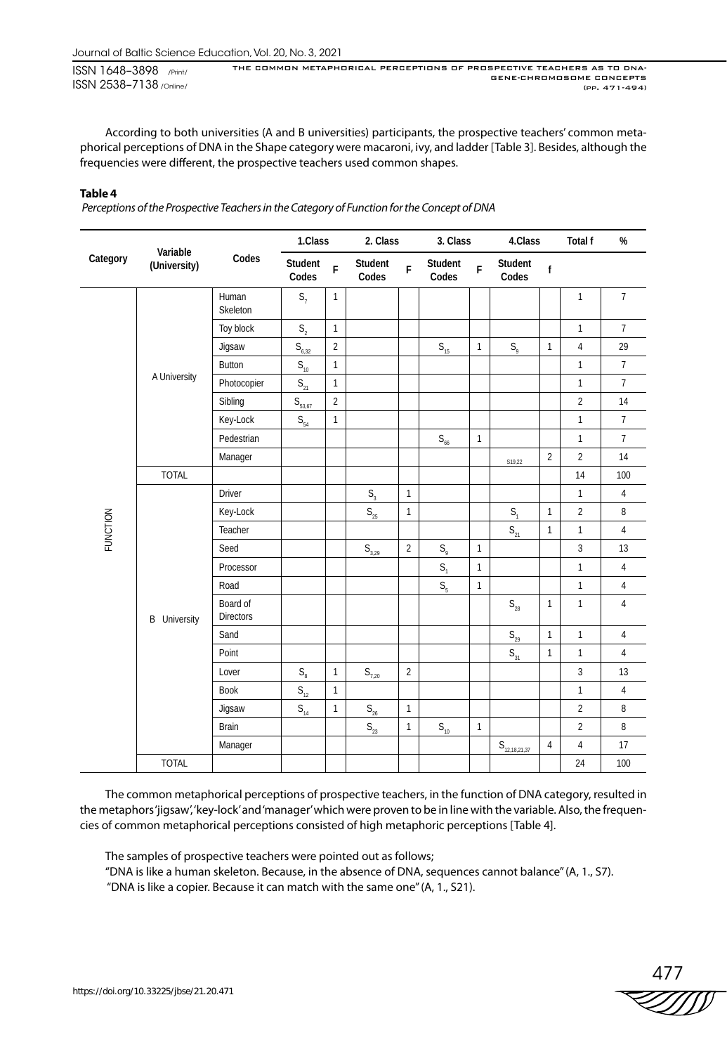According to both universities (A and B universities) participants, the prospective teachers' common metaphorical perceptions of DNA in the Shape category were macaroni, ivy, and ladder [Table 3]. Besides, although the frequencies were different, the prospective teachers used common shapes.

## **Table 4**

 *Perceptions of the Prospective Teachers in the Category of Function for the Concept of DNA*

| Category        | Variable            |                              | 1.Class                               |                | 2. Class                             |                | 3. Class                              |              | 4.Class                    |                | Total f        | $\%$             |
|-----------------|---------------------|------------------------------|---------------------------------------|----------------|--------------------------------------|----------------|---------------------------------------|--------------|----------------------------|----------------|----------------|------------------|
|                 | (University)        | Codes                        | Student<br>Codes                      | F              | Student<br>Codes                     | F              | Student<br>Codes                      | F            | Student<br>Codes           | $\mathsf{f}$   |                |                  |
|                 |                     | Human<br>Skeleton            | $S_7$                                 | $\mathbf{1}$   |                                      |                |                                       |              |                            |                | $\mathbf{1}$   | $\overline{7}$   |
|                 |                     | Toy block                    | $\mathsf{S}_2$                        | $\mathbf{1}$   |                                      |                |                                       |              |                            |                | $\mathbf{1}$   | $\overline{7}$   |
|                 |                     | Jigsaw                       | $S_{6,32}$                            | $\overline{2}$ |                                      |                | $\mathsf{S}_{\scriptscriptstyle{15}}$ | $\mathbf{1}$ | $S_{q}$                    | 1              | $\overline{4}$ | 29               |
|                 |                     | Button                       | $\mathsf{S}_{\scriptscriptstyle{10}}$ | $\mathbf{1}$   |                                      |                |                                       |              |                            |                | $\mathbf{1}$   | $\boldsymbol{7}$ |
|                 | A University        | Photocopier                  | $\mathsf{S}_{\scriptscriptstyle{21}}$ | $\mathbf{1}$   |                                      |                |                                       |              |                            |                | $\mathbf{1}$   | $\overline{7}$   |
|                 |                     | Sibling                      | $S_{\frac{53,67}{2}}$                 | $\overline{2}$ |                                      |                |                                       |              |                            |                | $\overline{2}$ | 14               |
|                 |                     | Key-Lock                     | $\mathsf{S}_{_{54}}$                  | $\mathbf{1}$   |                                      |                |                                       |              |                            |                | $\mathbf{1}$   | $\overline{7}$   |
|                 |                     | Pedestrian                   |                                       |                |                                      |                | $\mathsf{S}_{_{66}}$                  | $\mathbf{1}$ |                            |                | $\mathbf{1}$   | $\overline{7}$   |
|                 |                     | Manager                      |                                       |                |                                      |                |                                       |              | S19,22                     | $\overline{2}$ | $\overline{2}$ | 14               |
|                 | <b>TOTAL</b>        |                              |                                       |                |                                      |                |                                       |              |                            |                | 14             | 100              |
|                 |                     | <b>Driver</b>                |                                       |                | $\mathsf{S}_{\scriptscriptstyle{3}}$ | $\mathbf{1}$   |                                       |              |                            |                | $\mathbf{1}$   | $\overline{4}$   |
|                 |                     | Key-Lock                     |                                       |                | $S_{25}$                             | $\mathbf{1}$   |                                       |              | S <sub>1</sub>             | $\mathbf{1}$   | $\overline{2}$ | 8                |
| <b>FUNCTION</b> |                     | Teacher                      |                                       |                |                                      |                |                                       |              | $S_{21}$                   | $\mathbf{1}$   | $\mathbf{1}$   | $\sqrt{4}$       |
|                 |                     | Seed                         |                                       |                | $S_{3,29}$                           | $\overline{2}$ | $S_{\varphi}$                         | $\mathbf{1}$ |                            |                | $\sqrt{3}$     | 13               |
|                 |                     | Processor                    |                                       |                |                                      |                | S <sub>1</sub>                        | $\mathbf{1}$ |                            |                | $\mathbf{1}$   | $\sqrt{4}$       |
|                 |                     | Road                         |                                       |                |                                      |                | S <sub>5</sub>                        | $\mathbf{1}$ |                            |                | $\mathbf{1}$   | $\overline{4}$   |
|                 | <b>B</b> University | Board of<br><b>Directors</b> |                                       |                |                                      |                |                                       |              | $S_{28}$                   | $\mathbf{1}$   | $\mathbf{1}$   | $\sqrt{4}$       |
|                 |                     | Sand                         |                                       |                |                                      |                |                                       |              | $\mathsf{S}_{\mathsf{29}}$ | $\mathbf{1}$   | $\mathbf{1}$   | $\overline{4}$   |
|                 |                     | Point                        |                                       |                |                                      |                |                                       |              | $\mathsf{S}_{_{\!}31}$     | $\mathbf{1}$   | $\mathbf{1}$   | $\overline{4}$   |
|                 |                     | Lover                        | $\mathsf{S}_\mathrm{8}$               | $\mathbf{1}$   | $\mathsf{S}_{7,20}$                  | $\overline{2}$ |                                       |              |                            |                | $\overline{3}$ | 13               |
|                 |                     | <b>Book</b>                  | $\mathsf{S}_{\scriptscriptstyle{12}}$ | $\mathbf{1}$   |                                      |                |                                       |              |                            |                | $\mathbf{1}$   | $\overline{4}$   |
|                 |                     | Jigsaw                       | $\mathsf{S}_{_{14}}$                  | $\mathbf{1}$   | $\mathsf{S}_{\mathsf{26}}$           | $\mathbf{1}$   |                                       |              |                            |                | $\overline{2}$ | $\, 8$           |
|                 |                     | <b>Brain</b>                 |                                       |                | $\mathsf{S}_{\mathsf{23}}$           | $\mathbf{1}$   | $\mathsf{S}_{_{10}}$                  | $\mathbf{1}$ |                            |                | $\overline{2}$ | $\, 8$           |
|                 |                     | Manager                      |                                       |                |                                      |                |                                       |              | $S_{12,18,21,37}$          | $\overline{4}$ | $\overline{4}$ | 17               |
|                 | <b>TOTAL</b>        |                              |                                       |                |                                      |                |                                       |              |                            |                | 24             | 100              |

The common metaphorical perceptions of prospective teachers, in the function of DNA category, resulted in the metaphors 'jigsaw', 'key-lock' and 'manager' which were proven to be in line with the variable. Also, the frequencies of common metaphorical perceptions consisted of high metaphoric perceptions [Table 4].

The samples of prospective teachers were pointed out as follows;

"DNA is like a human skeleton. Because, in the absence of DNA, sequences cannot balance" (A, 1., S7).

"DNA is like a copier. Because it can match with the same one" (A, 1., S21).

477<br>ZZZZZD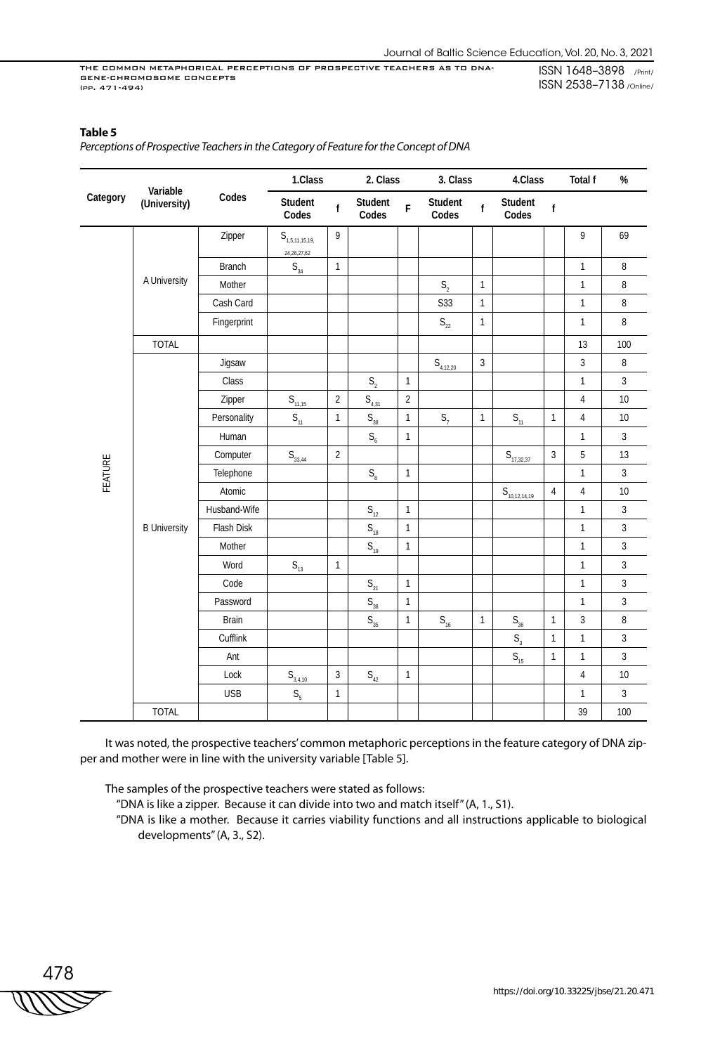## **Table 5**

 $\overline{a}$ 

*Perceptions of Prospective Teachers in the Category of Feature for the Concept of DNA*

|          | Variable            |               | 1.Class                                                        |                | 2. Class                |                | 3. Class                   |              | 4.Class                     |                | <b>Total f</b> | $\%$   |
|----------|---------------------|---------------|----------------------------------------------------------------|----------------|-------------------------|----------------|----------------------------|--------------|-----------------------------|----------------|----------------|--------|
| Category | (University)        | Codes         | Student<br>Codes                                               | $\mathsf f$    | Student<br>Codes        | F              | Student<br>Codes           | $\mathsf{f}$ | Student<br>Codes            | $\mathsf{f}$   |                |        |
|          |                     | Zipper        | ${\sf S}_{\scriptscriptstyle 1,5,11,15,19,}$<br>24, 26, 27, 62 | 9              |                         |                |                            |              |                             |                | 9              | 69     |
|          |                     | <b>Branch</b> | $\mathsf{S}_{_{34}}$                                           | $\mathbf{1}$   |                         |                |                            |              |                             |                | $\mathbf{1}$   | 8      |
|          | A University        | Mother        |                                                                |                |                         |                | S <sub>2</sub>             | $\mathbf{1}$ |                             |                | 1              | 8      |
|          |                     | Cash Card     |                                                                |                |                         |                | S33                        | $\mathbf{1}$ |                             |                | $\mathbf{1}$   | 8      |
|          |                     | Fingerprint   |                                                                |                |                         |                | $\mathsf{S}_{\mathsf{22}}$ | $\mathbf{1}$ |                             |                | 1              | 8      |
|          | <b>TOTAL</b>        |               |                                                                |                |                         |                |                            |              |                             |                | 13             | 100    |
|          |                     | Jigsaw        |                                                                |                |                         |                | $S_{4,12,20}$              | 3            |                             |                | 3              | $\, 8$ |
|          |                     | Class         |                                                                |                | $S_{2}$                 | $\mathbbm{1}$  |                            |              |                             |                | $\mathbf{1}$   | 3      |
|          |                     | Zipper        | $S_{11,15}$                                                    | $\overline{2}$ | $S_{4,31}$              | $\overline{2}$ |                            |              |                             |                | $\overline{4}$ | 10     |
|          |                     | Personality   | $S_{11}$                                                       | $\mathbbm{1}$  | $\mathsf{S}_{_{38}}$    | $\mathbf{1}$   | $S_7$                      | $\mathbf{1}$ | $S_{11}$                    | $\mathbf{1}$   | $\overline{4}$ | 10     |
|          |                     | Human         |                                                                |                | $\mathsf{S}_\mathsf{6}$ | $\mathbbm{1}$  |                            |              |                             |                | $\mathbf{1}$   | 3      |
|          |                     | Computer      | $S_{33,44}$                                                    | $\overline{2}$ |                         |                |                            |              | $S_{\frac{17,32,37}{2}}$    | $\overline{3}$ | 5              | 13     |
| FEATURE  |                     | Telephone     |                                                                |                | $\mathsf{S}_\mathrm{8}$ | $\mathbbm{1}$  |                            |              |                             |                | $\mathbf{1}$   | 3      |
|          |                     | Atomic        |                                                                |                |                         |                |                            |              | $S_{\frac{10,12,14,19}{2}}$ | $\sqrt{4}$     | $\overline{4}$ | 10     |
|          |                     | Husband-Wife  |                                                                |                | $S_{12}$                | $\mathbf{1}$   |                            |              |                             |                | $\mathbf{1}$   | 3      |
|          | <b>B University</b> | Flash Disk    |                                                                |                | $S_{18}$                | $\mathbf{1}$   |                            |              |                             |                | $\mathbf{1}$   | 3      |
|          |                     | Mother        |                                                                |                | $S_{19}$                | $\mathbf{1}$   |                            |              |                             |                | $\mathbf{1}$   | 3      |
|          |                     | Word          | $S_{13}$                                                       | $\mathbf{1}$   |                         |                |                            |              |                             |                | $\mathbf{1}$   | 3      |
|          |                     | Code          |                                                                |                | $S_{21}$                | $\mathbf{1}$   |                            |              |                             |                | $\mathbf{1}$   | 3      |
|          |                     | Password      |                                                                |                | $S_{38}$                | $\mathbf{1}$   |                            |              |                             |                | $\mathbf{1}$   | 3      |
|          |                     | <b>Brain</b>  |                                                                |                | $\mathsf{S}_{_{35}}$    | $\mathbf{1}$   | $\mathsf{S}_{\mathsf{16}}$ | $\mathbf{1}$ | $\mathsf{S}_{_{36}}$        | $\mathbf{1}$   | $\overline{3}$ | 8      |
|          |                     | Cufflink      |                                                                |                |                         |                |                            |              | $\mathsf{S}_{_{\!3}}$       | $\mathbf{1}$   | $\mathbf{1}$   | 3      |
|          |                     | Ant           |                                                                |                |                         |                |                            |              | $S_{15}$                    | $\mathbf{1}$   | $\mathbf{1}$   | 3      |
|          |                     | Lock          | $S_{3,4,10}$                                                   | 3              | $\mathsf{S}_{_{42}}$    | $\mathbf{1}$   |                            |              |                             |                | 4              | 10     |
|          |                     | <b>USB</b>    | $\mathsf{S}_\mathsf{s}$                                        | $\mathbf{1}$   |                         |                |                            |              |                             |                | $\mathbf{1}$   | 3      |
|          | <b>TOTAL</b>        |               |                                                                |                |                         |                |                            |              |                             |                | 39             | 100    |

It was noted, the prospective teachers' common metaphoric perceptions in the feature category of DNA zipper and mother were in line with the university variable [Table 5].

The samples of the prospective teachers were stated as follows:

"DNA is like a zipper. Because it can divide into two and match itself" (A, 1., S1).

"DNA is like a mother. Because it carries viability functions and all instructions applicable to biological developments" (A, 3., S2).

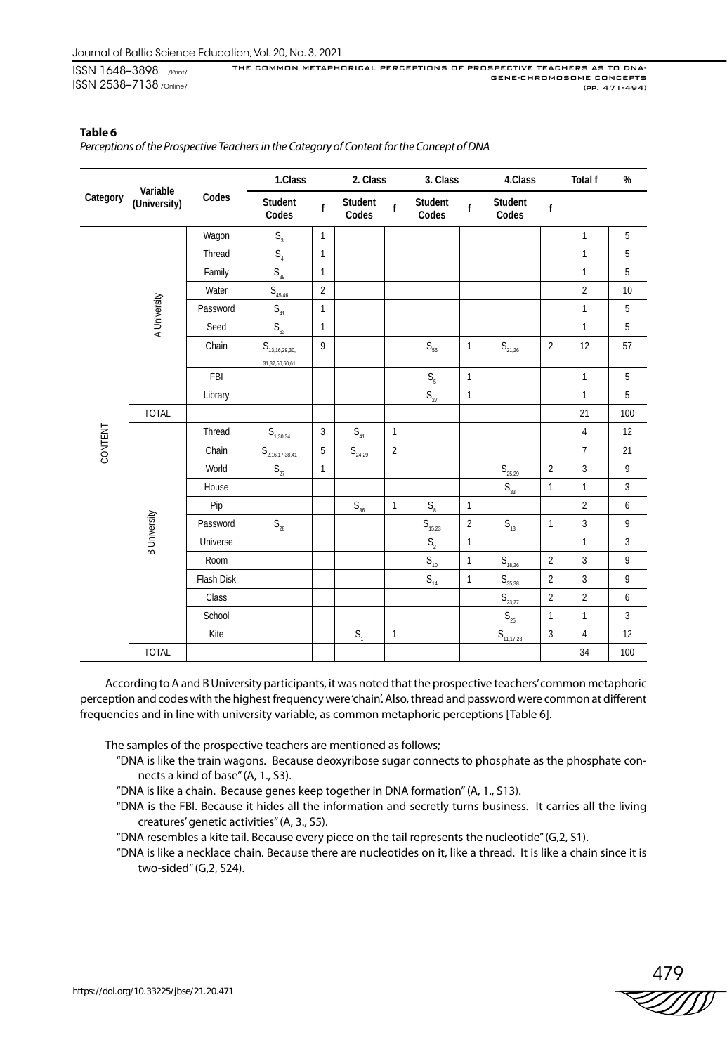## **Table 6**

*Perceptions of the Prospective Teachers in the Category of Content for the Concept of DNA*

| Variable<br>Category |                     |            | 1.Class                                       |                | 2. Class                              |                | 3. Class                              |                | 4.Class                                |                | Total f        | $\%$             |
|----------------------|---------------------|------------|-----------------------------------------------|----------------|---------------------------------------|----------------|---------------------------------------|----------------|----------------------------------------|----------------|----------------|------------------|
|                      | (University)        | Codes      | Student<br>Codes                              | f              | Student<br>Codes                      | f              | Student<br>Codes                      | f              | Student<br>Codes                       | $\mathsf{f}$   |                |                  |
|                      |                     | Wagon      | S <sub>3</sub>                                | $\mathbf{1}$   |                                       |                |                                       |                |                                        |                | $\mathbf{1}$   | 5                |
|                      |                     | Thread     | S <sub>4</sub>                                | $\mathbf{1}$   |                                       |                |                                       |                |                                        |                | $\mathbf{1}$   | 5                |
|                      |                     | Family     | $S_{39}$                                      | $\mathbf{1}$   |                                       |                |                                       |                |                                        |                | $\mathbf{1}$   | 5                |
|                      |                     | Water      | $S_{45,46}$                                   | $\overline{2}$ |                                       |                |                                       |                |                                        |                | $\overline{2}$ | 10               |
|                      |                     | Password   | $\mathsf{S}_{_{41}}$                          | $\mathbf{1}$   |                                       |                |                                       |                |                                        |                | $\mathbf{1}$   | 5                |
|                      | A University        | Seed       | $\mathsf{S}_{_{63}}$                          | $\mathbf{1}$   |                                       |                |                                       |                |                                        |                | $\mathbf{1}$   | 5                |
|                      |                     | Chain      | ${\sf S}_{_{13,16,29,30,}}$<br>31,37,50,60,61 | 9              |                                       |                | $\mathsf{S}_{56}$                     | $\mathbf{1}$   | $\mathsf{S}_{\mathsf{21,26}}$          | $\overline{2}$ | 12             | 57               |
|                      |                     | FBI        |                                               |                |                                       |                | $S_{\rm s}$                           | $\mathbf{1}$   |                                        |                | $\mathbf{1}$   | 5                |
|                      |                     | Library    |                                               |                |                                       |                | $\mathsf{S}_{\mathsf{27}}$            | $\mathbf{1}$   |                                        |                | $\mathbf{1}$   | 5                |
|                      | <b>TOTAL</b>        |            |                                               |                |                                       |                |                                       |                |                                        |                | 21             | 100              |
|                      |                     | Thread     | $S_{1, \underline{30, 34}}$                   | $\mathbf{3}$   | $S_{41}$                              | $\mathbf{1}$   |                                       |                |                                        |                | 4              | 12               |
| CONTENT              |                     | Chain      | $S_{\frac{2,16,17,38,41}{2}}$                 | 5              | $S_{\frac{24,29}{2}}$                 | $\overline{2}$ |                                       |                |                                        |                | $\overline{7}$ | 21               |
|                      |                     | World      | $\mathsf{S}_{\mathsf{27}}$                    | $\mathbf{1}$   |                                       |                |                                       |                | $S_{25,29}$                            | $\overline{2}$ | $\mathbf{3}$   | 9                |
|                      |                     | House      |                                               |                |                                       |                |                                       |                | $\mathsf{S}_{_{33}}$                   | 1              | $\mathbf{1}$   | 3                |
|                      |                     | Pip        |                                               |                | $\mathsf{S}_{\scriptscriptstyle{36}}$ | $\mathbf{1}$   | $S_{\scriptscriptstyle{8}}$           | $\mathbf{1}$   |                                        |                | $\overline{2}$ | $\boldsymbol{6}$ |
|                      | <b>B</b> University | Password   | $\mathsf{S}_{\mathsf{28}}$                    |                |                                       |                | $S_{\frac{15,23}{}}$                  | $\overline{2}$ | $\mathsf{S}_{\scriptscriptstyle{13}}$  | $\mathbf{1}$   | $\mathbf{3}$   | 9                |
|                      |                     | Universe   |                                               |                |                                       |                | $\mathsf{S}_2$                        | $\mathbf{1}$   |                                        |                | $\mathbf{1}$   | $\overline{3}$   |
|                      |                     | Room       |                                               |                |                                       |                | $\mathsf{S}_{\scriptscriptstyle{10}}$ | $\mathbf{1}$   | $S_{18,26}$                            | $\overline{2}$ | 3              | 9                |
|                      |                     | Flash Disk |                                               |                |                                       |                | $\mathsf{S}_{_{14}}$                  | $\mathbf{1}$   | $S_{35,38}$                            | $\overline{c}$ | $\sqrt{3}$     | 9                |
|                      |                     | Class      |                                               |                |                                       |                |                                       |                | $\mathsf{S}_{\mathsf{23},\mathsf{27}}$ | $\overline{2}$ | $\sqrt{2}$     | 6                |
|                      |                     | School     |                                               |                |                                       |                |                                       |                | $\mathsf{S}_{\mathsf{25}}$             | $\mathbf{1}$   | $\mathbf{1}$   | 3                |
|                      |                     | Kite       |                                               |                | S <sub>1</sub>                        | $\mathbf{1}$   |                                       |                | $S_{11,17,23}$                         | 3              | $\overline{4}$ | 12               |
|                      | <b>TOTAL</b>        |            |                                               |                |                                       |                |                                       |                |                                        |                | 34             | 100              |

According to A and B University participants, it was noted that the prospective teachers' common metaphoric perception and codes with the highest frequency were 'chain'. Also, thread and password were common at different frequencies and in line with university variable, as common metaphoric perceptions [Table 6].

The samples of the prospective teachers are mentioned as follows;

- "DNA is like the train wagons. Because deoxyribose sugar connects to phosphate as the phosphate connects a kind of base" (A, 1., S3).
- "DNA is like a chain. Because genes keep together in DNA formation" (A, 1., S13).
- "DNA is the FBI. Because it hides all the information and secretly turns business. It carries all the living creatures' genetic activities" (A, 3., S5).
- "DNA resembles a kite tail. Because every piece on the tail represents the nucleotide" (G,2, S1).
- "DNA is like a necklace chain. Because there are nucleotides on it, like a thread. It is like a chain since it is two-sided" (G,2, S24).

– 479<br>ZZZZII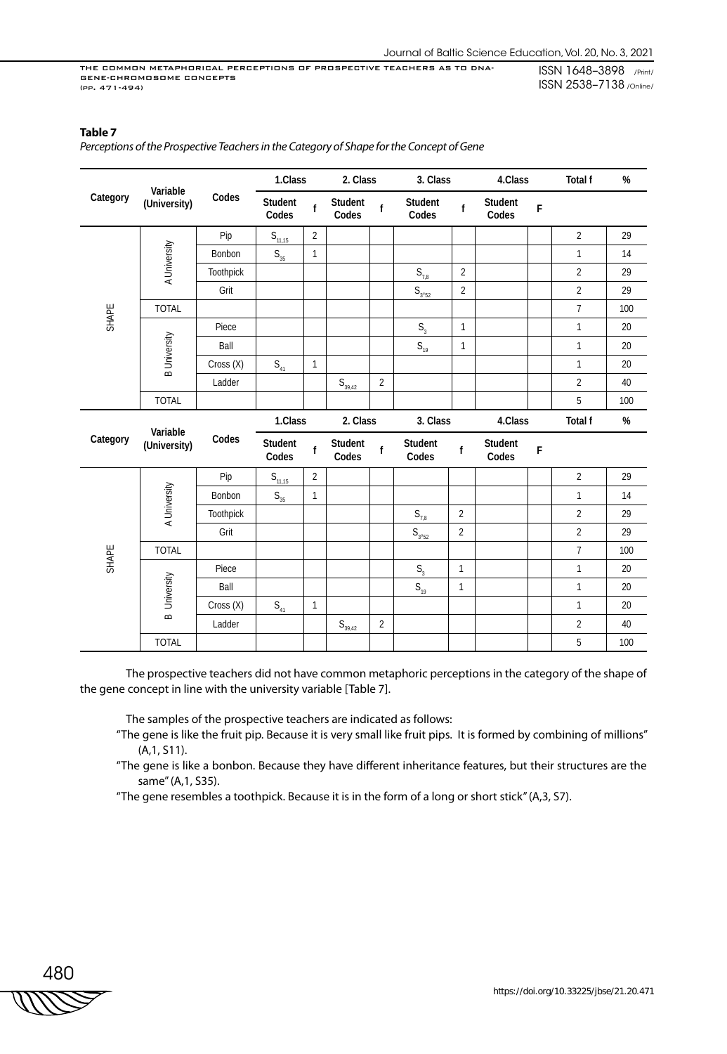## **Table 7**

*Perceptions of the Prospective Teachers in the Category of Shape for the Concept of Gene*

| Variable<br>Category<br>(University) |                          | 1.Class   |                                       | 2. Class       |                       | 3. Class       |                                      | 4.Class        |                  | <b>Total f</b> | %              |      |
|--------------------------------------|--------------------------|-----------|---------------------------------------|----------------|-----------------------|----------------|--------------------------------------|----------------|------------------|----------------|----------------|------|
|                                      |                          | Codes     | Student<br>Codes                      | $\mathbf{f}$   | Student<br>Codes      | $\mathbf f$    | Student<br>Codes                     | f              | Student<br>Codes | F              |                |      |
|                                      |                          | Pip       | $S_{11,15}$                           | 2              |                       |                |                                      |                |                  |                | $\overline{2}$ | 29   |
|                                      | A University             | Bonbon    | $\mathsf{S}_{\scriptscriptstyle 35}$  | $\mathbf{1}$   |                       |                |                                      |                |                  |                | $\mathbf{1}$   | 14   |
|                                      |                          | Toothpick |                                       |                |                       |                | $S_{7,8}$                            | $\overline{2}$ |                  |                | $\overline{2}$ | 29   |
|                                      |                          | Grit      |                                       |                |                       |                | $\mathsf{S}_{_{3'52}}$               | $\overline{2}$ |                  |                | $\overline{2}$ | 29   |
| SHAPE                                | <b>TOTAL</b>             |           |                                       |                |                       |                |                                      |                |                  |                | $\overline{7}$ | 100  |
|                                      |                          | Piece     |                                       |                |                       |                | S <sub>3</sub>                       | $\mathbf{1}$   |                  |                | $\mathbf{1}$   | 20   |
|                                      |                          | Ball      |                                       |                |                       |                | $S_{19}$                             | $\mathbf{1}$   |                  |                | $\mathbf{1}$   | 20   |
|                                      | <b>B</b> University      | Cross (X) | $\mathsf{S}_{\scriptscriptstyle{41}}$ | $\mathbf{1}$   |                       |                |                                      |                |                  |                | $\mathbf{1}$   | 20   |
|                                      |                          | Ladder    |                                       |                | $S_{\frac{39,42}{2}}$ | 2              |                                      |                |                  |                | $\overline{2}$ | 40   |
|                                      | <b>TOTAL</b>             |           |                                       |                |                       |                |                                      |                |                  |                | 5              | 100  |
|                                      |                          |           |                                       |                |                       |                |                                      |                |                  |                |                |      |
|                                      |                          |           | 1.Class                               |                | 2. Class              |                | 3. Class                             |                | 4.Class          |                | <b>Total f</b> | $\%$ |
| Category                             | Variable<br>(University) | Codes     | Student<br>Codes                      | $\mathsf f$    | Student<br>Codes      | $\mathbf f$    | Student<br>Codes                     | f              | Student<br>Codes | F              |                |      |
|                                      |                          | Pip       | $S_{11,15}$                           | $\overline{2}$ |                       |                |                                      |                |                  |                | $\overline{2}$ | 29   |
|                                      |                          | Bonbon    | $\mathsf{S}_{_{35}}$                  | $\mathbf{1}$   |                       |                |                                      |                |                  |                | $\mathbf{1}$   | 14   |
|                                      |                          | Toothpick |                                       |                |                       |                | $\mathsf{S}_{7,8}$                   | $\overline{2}$ |                  |                | $\overline{2}$ | 29   |
|                                      | A University             | Grit      |                                       |                |                       |                |                                      | $\overline{2}$ |                  |                | $\overline{2}$ | 29   |
|                                      | <b>TOTAL</b>             |           |                                       |                |                       |                | $S_{3'52}$                           |                |                  |                | $\overline{7}$ | 100  |
| SHAPE                                |                          | Piece     |                                       |                |                       |                | $\mathsf{S}_{\scriptscriptstyle{3}}$ | $\mathbf{1}$   |                  |                | $\mathbf{1}$   | 20   |
|                                      |                          | Ball      |                                       |                |                       |                | $S_{19}$                             | $\mathbf{1}$   |                  |                | $\mathbf{1}$   | 20   |
|                                      | University               | Cross (X) | $\mathsf{S}_{\scriptscriptstyle{41}}$ | $\mathbf{1}$   |                       |                |                                      |                |                  |                | $\mathbf{1}$   | 20   |
|                                      | $\infty$                 | Ladder    |                                       |                | $S_{39,42}$           | $\overline{2}$ |                                      |                |                  |                | $\overline{2}$ | 40   |

The prospective teachers did not have common metaphoric perceptions in the category of the shape of the gene concept in line with the university variable [Table 7].

The samples of the prospective teachers are indicated as follows:

- "The gene is like the fruit pip. Because it is very small like fruit pips. It is formed by combining of millions" (A,1, S11).
- "The gene is like a bonbon. Because they have different inheritance features, but their structures are the same" (A,1, S35).
- "The gene resembles a toothpick. Because it is in the form of a long or short stick" (A,3, S7).

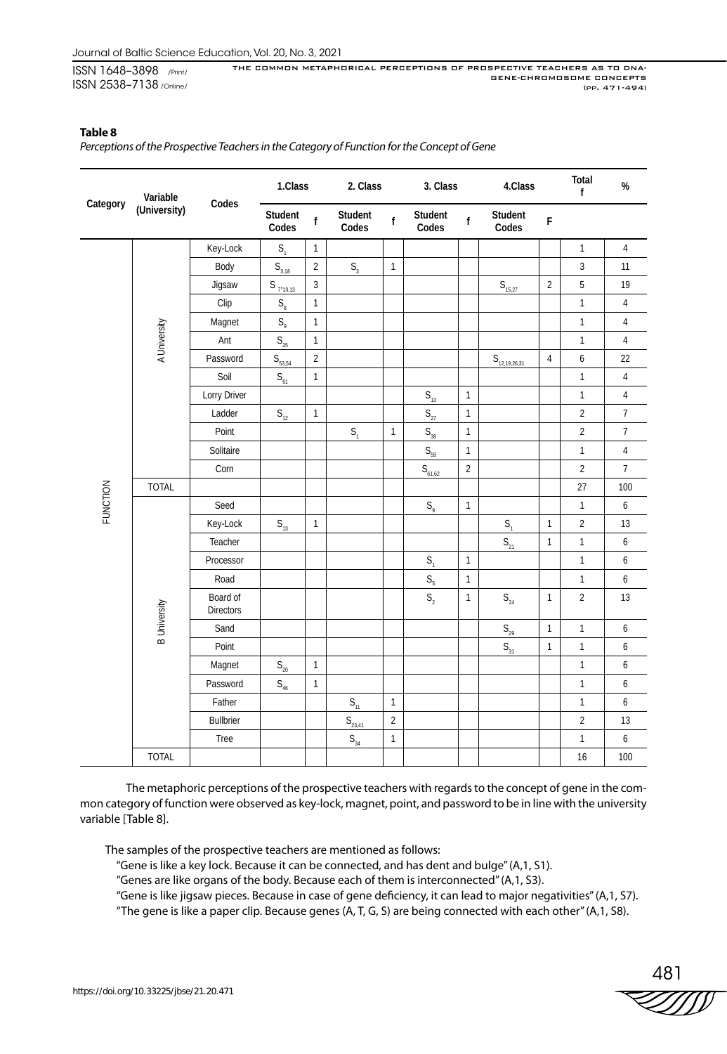### **Table 8**

*Perceptions of the Prospective Teachers in the Category of Function for the Concept of Gene*

| Category | Variable            | Codes                 | 1.Class                                  |                | 2. Class              |                | 3. Class                             |                | 4.Class                               |                | Total<br>f     | $\%$                      |
|----------|---------------------|-----------------------|------------------------------------------|----------------|-----------------------|----------------|--------------------------------------|----------------|---------------------------------------|----------------|----------------|---------------------------|
|          | (University)        |                       | Student<br>Codes                         | $\mathsf{f}$   | Student<br>Codes      | $\mathsf f$    | Student<br>Codes                     | f              | Student<br>Codes                      | $\mathsf F$    |                |                           |
|          |                     | Key-Lock              | S <sub>1</sub>                           | $\mathbf{1}$   |                       |                |                                      |                |                                       |                | $\mathbf{1}$   | $\sqrt{4}$                |
|          |                     | Body                  | $S_{3,18}$                               | $\sqrt{2}$     | $\mathsf{S}_{_{\!3}}$ | $\mathbf{1}$   |                                      |                |                                       |                | $\mathbf{3}$   | 11                        |
|          |                     | Jigsaw                | $S_{7'10,13}$                            | $\overline{3}$ |                       |                |                                      |                | $S_{\frac{15,27}{2}}$                 | $\overline{2}$ | 5              | 19                        |
|          |                     | Clip                  | $\mathsf{S}_\mathrm{8}$                  | $\mathbf{1}$   |                       |                |                                      |                |                                       |                | $\mathbf{1}$   | $\sqrt{4}$                |
|          |                     | Magnet                | $S_{\varphi}$                            | $\mathbf{1}$   |                       |                |                                      |                |                                       |                | $\mathbf{1}$   | $\overline{4}$            |
|          | A University        | Ant                   | $\mathsf{S}_{\mathsf{25}}$               | $\mathbf{1}$   |                       |                |                                      |                |                                       |                | 1              | $\overline{4}$            |
|          |                     | Password              | $\mathsf{S}_{\scriptscriptstyle{53,54}}$ | $\overline{2}$ |                       |                |                                      |                | ${\sf S}_{\sf 12,19,26,31}$           | $\overline{4}$ | 6              | 22                        |
|          |                     | Soil                  | $\mathsf{S}_{_{61}}$                     | $\mathbf{1}$   |                       |                |                                      |                |                                       |                | $\mathbf{1}$   | 4                         |
|          |                     | Lorry Driver          |                                          |                |                       |                | $S_{13}$                             | $\mathbf{1}$   |                                       |                | $\mathbf{1}$   | $\sqrt{4}$                |
|          |                     | Ladder                | $S_{12}$                                 | $\mathbf{1}$   |                       |                | $\mathsf{S}_{\mathsf{27}}$           | $\mathbf{1}$   |                                       |                | $\overline{2}$ | $\overline{7}$            |
|          |                     | Point                 |                                          |                | S <sub>1</sub>        | $\mathbf{1}$   | $\mathsf{S}_{_{38}}$                 | $\mathbf{1}$   |                                       |                | $\overline{2}$ | $\overline{\mathfrak{I}}$ |
|          |                     | Solitaire             |                                          |                |                       |                | $S_{59}$                             | $\mathbf{1}$   |                                       |                | $\mathbf{1}$   | $\sqrt{4}$                |
|          |                     | Corn                  |                                          |                |                       |                | $S_{61,62}$                          | $\overline{2}$ |                                       |                | $\overline{2}$ | $\overline{7}$            |
|          | <b>TOTAL</b>        |                       |                                          |                |                       |                |                                      |                |                                       |                | 27             | 100                       |
| FUNCTION |                     | Seed                  |                                          |                |                       |                | $\mathsf{S}_{\scriptscriptstyle{9}}$ | $\mathbf{1}$   |                                       |                | $\mathbf{1}$   | $\boldsymbol{6}$          |
|          |                     | Key-Lock              | $\mathsf{S}_{\scriptscriptstyle{13}}$    | $\mathbf{1}$   |                       |                |                                      |                | S <sub>1</sub>                        | $\mathbf{1}$   | $\overline{2}$ | 13                        |
|          |                     | Teacher               |                                          |                |                       |                |                                      |                | $S_{21}$                              | $\mathbf{1}$   | $\mathbf{1}$   | $\boldsymbol{6}$          |
|          |                     | Processor             |                                          |                |                       |                | S <sub>1</sub>                       | $\mathbf{1}$   |                                       |                | $\mathbf{1}$   | $\boldsymbol{6}$          |
|          |                     | Road                  |                                          |                |                       |                | $S_{5}$                              | $\mathbf{1}$   |                                       |                | $\mathbf{1}$   | $\boldsymbol{6}$          |
|          | <b>B</b> University | Board of<br>Directors |                                          |                |                       |                | S <sub>2</sub>                       | $\mathbf{1}$   | $\mathsf{S}_{\scriptscriptstyle{24}}$ | $\mathbf{1}$   | $\overline{2}$ | 13                        |
|          |                     | Sand                  |                                          |                |                       |                |                                      |                | $\mathsf{S}_{\mathsf{29}}$            | $\mathbf{1}$   | $\mathbf{1}$   | $\boldsymbol{6}$          |
|          |                     | Point                 |                                          |                |                       |                |                                      |                | $S_{31}$                              | $\mathbf{1}$   | $\mathbf{1}$   | 6                         |
|          |                     | Magnet                | $\mathsf{S}_{\mathsf{20}}$               | $\mathbf{1}$   |                       |                |                                      |                |                                       |                | $\mathbf{1}$   | $\boldsymbol{6}$          |
|          |                     | Password              | $S_{46}$                                 | $\mathbf{1}$   |                       |                |                                      |                |                                       |                | $\mathbf{1}$   | $\boldsymbol{6}$          |
|          |                     | Father                |                                          |                | $S_{11}$              | $\mathbf{1}$   |                                      |                |                                       |                | $\mathbf{1}$   | $\boldsymbol{6}$          |
|          |                     | <b>Bullbrier</b>      |                                          |                | $S_{23,41}$           | $\overline{2}$ |                                      |                |                                       |                | $\overline{2}$ | 13                        |
|          |                     | Tree                  |                                          |                | $S_{34}$              | $\mathbf{1}$   |                                      |                |                                       |                | $\mathbf{1}$   | $\boldsymbol{6}$          |
|          | <b>TOTAL</b>        |                       |                                          |                |                       |                |                                      |                |                                       |                | 16             | 100                       |

The metaphoric perceptions of the prospective teachers with regards to the concept of gene in the common category of function were observed as key-lock, magnet, point, and password to be in line with the university variable [Table 8].

The samples of the prospective teachers are mentioned as follows:

"Gene is like a key lock. Because it can be connected, and has dent and bulge" (A,1, S1).

"Genes are like organs of the body. Because each of them is interconnected" (A,1, S3).

"Gene is like jigsaw pieces. Because in case of gene deficiency, it can lead to major negativities" (A,1, S7).

"The gene is like a paper clip. Because genes (A, T, G, S) are being connected with each other" (A,1, S8).

 $\frac{481}{55000000000000000000000000}$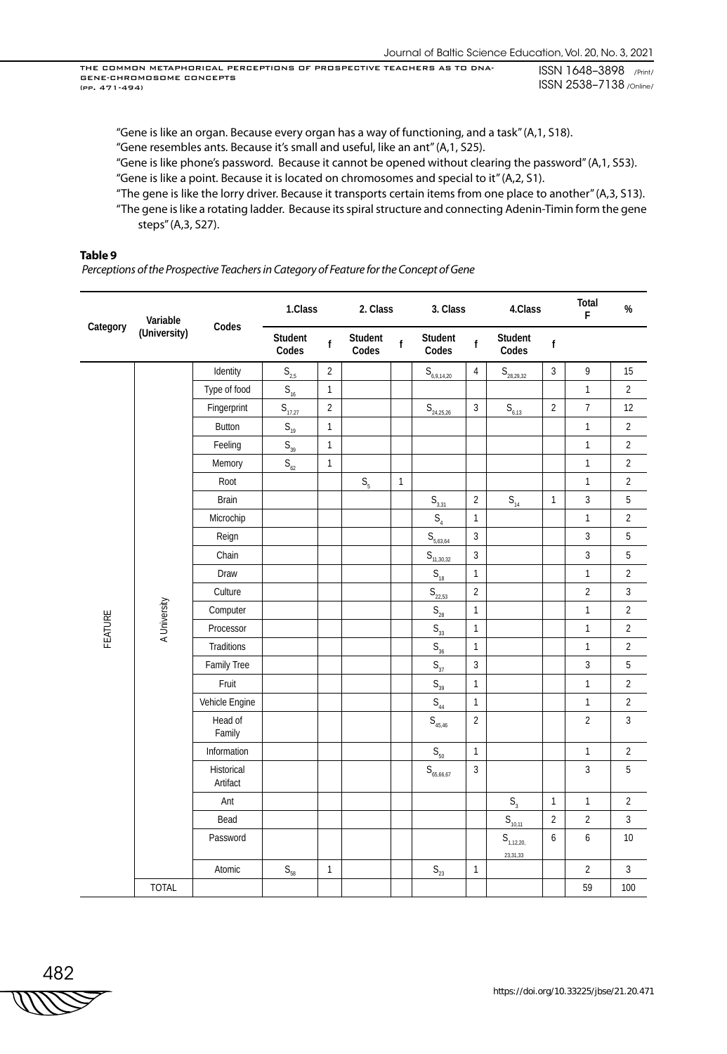"Gene is like an organ. Because every organ has a way of functioning, and a task" (A,1, S18). "Gene resembles ants. Because it's small and useful, like an ant" (A,1, S25).

"Gene is like phone's password. Because it cannot be opened without clearing the password" (A,1, S53).

"Gene is like a point. Because it is located on chromosomes and special to it" (A,2, S1).

"The gene is like the lorry driver. Because it transports certain items from one place to another" (A,3, S13). "The gene is like a rotating ladder. Because its spiral structure and connecting Adenin-Timin form the gene steps" (A,3, S27).

#### **Table 9**

 *Perceptions of the Prospective Teachers in Category of Feature for the Concept of Gene*

| Category | Variable     | Codes                  | 1.Class                                 |                | 2. Class         |              | 3. Class                                      |                | 4.Class                    |                | Total<br>F     | $\%$           |
|----------|--------------|------------------------|-----------------------------------------|----------------|------------------|--------------|-----------------------------------------------|----------------|----------------------------|----------------|----------------|----------------|
|          | (University) |                        | Student<br>Codes                        | $\mathsf f$    | Student<br>Codes | $\mathsf{f}$ | Student<br>Codes                              | f              | Student<br>Codes           | f              |                |                |
|          |              | Identity               | $\mathsf{S}_{\underline{\mathsf{2,5}}}$ | $\overline{2}$ |                  |              | ${\sf S}_{\scriptscriptstyle{\rm 6,9,14,20}}$ | $\overline{4}$ | $S_{\underline{28,29,32}}$ | 3              | 9              | 15             |
|          |              | Type of food           | $S_{16}$                                | $\mathbf{1}$   |                  |              |                                               |                |                            |                | $\mathbf{1}$   | $\overline{2}$ |
|          |              | Fingerprint            | $S_{17,27}$                             | $\sqrt{2}$     |                  |              | $S_{\frac{24,25,26}{2}}$                      | 3              | $S_{6,13}$                 | $\overline{a}$ | $\overline{7}$ | 12             |
|          |              | Button                 | $\mathsf{S}_{\scriptscriptstyle{19}}$   | $\mathbf{1}$   |                  |              |                                               |                |                            |                | $\mathbf{1}$   | $\overline{2}$ |
|          |              | Feeling                | $S_{39}$                                | $\mathbbm{1}$  |                  |              |                                               |                |                            |                | $\mathbf{1}$   | $\overline{2}$ |
|          |              | Memory                 | $\mathsf{S}_{62}$                       | $\mathbbm{1}$  |                  |              |                                               |                |                            |                | $\mathbf{1}$   | $\overline{2}$ |
|          |              | Root                   |                                         |                | $S_{\rm 5}$      | $\mathbf{1}$ |                                               |                |                            |                | $\mathbf{1}$   | $\overline{2}$ |
|          |              | <b>Brain</b>           |                                         |                |                  |              | $S_{3,31}$                                    | $\overline{2}$ | $S_{14}$                   | $\mathbf{1}$   | 3              | 5              |
|          |              | Microchip              |                                         |                |                  |              | $S_4$                                         | $\mathbf{1}$   |                            |                | $\mathbf{1}$   | $\overline{2}$ |
|          |              | Reign                  |                                         |                |                  |              | $S_{5,63,64}$                                 | $\overline{3}$ |                            |                | $\sqrt{3}$     | $5\,$          |
|          |              | Chain                  |                                         |                |                  |              | $S_{11,30,32}$                                | 3              |                            |                | $\mathbf{3}$   | 5              |
|          |              | Draw                   |                                         |                |                  |              | $\mathsf{S}_{\scriptscriptstyle{18}}$         | $\mathbf{1}$   |                            |                | $\mathbf{1}$   | $\overline{2}$ |
|          |              | Culture                |                                         |                |                  |              | $S_{22,53}$                                   | $\overline{c}$ |                            |                | $\overline{2}$ | $\overline{3}$ |
|          | A University | Computer               |                                         |                |                  |              | $\mathsf{S}_{\mathsf{28}}$                    | $\mathbf{1}$   |                            |                | $\mathbf{1}$   | $\overline{2}$ |
| FEATURE  |              | Processor              |                                         |                |                  |              | $\mathsf{S}_{_{33}}$                          | $\mathbf{1}$   |                            |                | $\mathbf{1}$   | $\overline{2}$ |
|          |              | Traditions             |                                         |                |                  |              | $\mathsf{S}_{\scriptscriptstyle{36}}$         | $\mathbf{1}$   |                            |                | $\mathbf{1}$   | $\overline{2}$ |
|          |              | Family Tree            |                                         |                |                  |              | $S_{37}$                                      | $\overline{3}$ |                            |                | $\sqrt{3}$     | 5              |
|          |              | Fruit                  |                                         |                |                  |              | $S_{39}$                                      | 1              |                            |                | $\mathbf{1}$   | $\overline{2}$ |
|          |              | Vehicle Engine         |                                         |                |                  |              | $S_{44}$                                      | $\mathbf{1}$   |                            |                | $\mathbf{1}$   | $\overline{2}$ |
|          |              | Head of<br>Family      |                                         |                |                  |              | $\mathsf{S}_{_{45,46}}$                       | $\overline{2}$ |                            |                | $\overline{2}$ | $\overline{3}$ |
|          |              | Information            |                                         |                |                  |              | $S_{50}$                                      | $\mathbf{1}$   |                            |                | $\mathbf{1}$   | $\overline{2}$ |
|          |              | Historical<br>Artifact |                                         |                |                  |              | ${\sf S}_{_{65,66,67}}$                       | 3              |                            |                | 3              | 5              |
|          |              | Ant                    |                                         |                |                  |              |                                               |                | S <sub>3</sub>             | $\mathbf{1}$   | $\mathbf{1}$   | $\overline{2}$ |
|          |              | Bead                   |                                         |                |                  |              |                                               |                | $S_{\frac{10,11}{2}}$      | $\overline{2}$ | $\overline{2}$ | 3              |
|          |              | Password               |                                         |                |                  |              |                                               |                | $S_{1,12,20,}$             | 6              | 6              | $10\,$         |
|          |              |                        |                                         |                |                  |              |                                               |                | 23,31,33                   |                |                |                |
|          |              | Atomic                 | $\mathsf{S}_{58}$                       | $\mathbf{1}$   |                  |              | $\mathsf{S}_{\mathsf{23}}$                    | $\mathbf{1}$   |                            |                | $\overline{2}$ | $\overline{3}$ |
|          | <b>TOTAL</b> |                        |                                         |                |                  |              |                                               |                |                            |                | 59             | 100            |

$$
\begin{array}{c}\n 482 \\
\hline\n \text{WWW} \n \end{array}
$$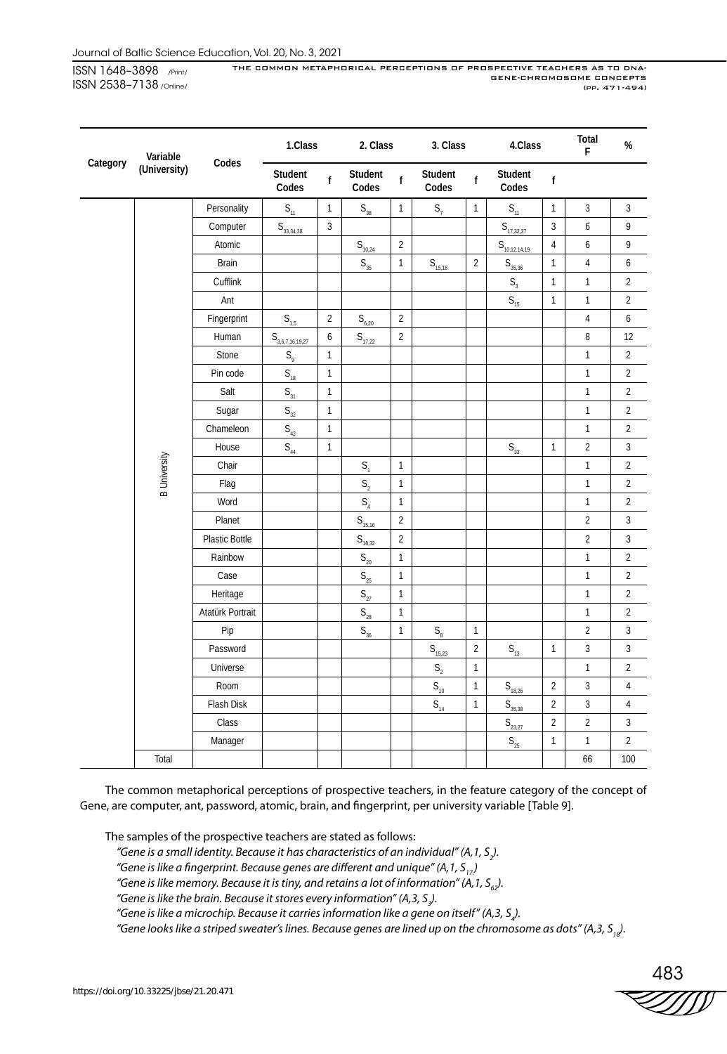| Variable<br>Category |                     |                  | 1.Class                               |                | 2. Class                              |                | 3. Class                    |                | 4.Class                    |                | Total<br>F       | $\%$           |
|----------------------|---------------------|------------------|---------------------------------------|----------------|---------------------------------------|----------------|-----------------------------|----------------|----------------------------|----------------|------------------|----------------|
|                      | (University)        | Codes            | Student<br>Codes                      | f              | Student<br>Codes                      | $\mathsf{f}$   | Student<br>Codes            | $\mathsf{f}$   | Student<br>Codes           | f              |                  |                |
|                      |                     | Personality      | $S_{11}$                              | $\mathbf{1}$   | $\mathsf{S}_{_{38}}$                  | $\mathbf{1}$   | $S_7$                       | $\mathbf{1}$   | $S_{11}$                   | $\mathbf{1}$   | $\overline{3}$   | $\overline{3}$ |
|                      |                     | Computer         | ${\sf S}_{\underline{33,34,38}}$      | $\sqrt{3}$     |                                       |                |                             |                | $S_{\frac{17,32,37}{2}}$   | 3              | $\boldsymbol{6}$ | 9              |
|                      |                     | Atomic           |                                       |                | $S_{10,24}$                           | $\overline{2}$ |                             |                | $S_{10,12.14,19}$          | $\sqrt{4}$     | $\boldsymbol{6}$ | 9              |
|                      |                     | <b>Brain</b>     |                                       |                | $\mathsf{S}_{_{35}}$                  | $\mathbf{1}$   | $S_{15,16}$                 | $\overline{2}$ | $S_{35,36}$                | $\mathbf{1}$   | $\sqrt{4}$       | 6              |
|                      |                     | Cufflink         |                                       |                |                                       |                |                             |                | $S_3$                      | $\mathbf{1}$   | $\mathbf{1}$     | $\overline{2}$ |
|                      |                     | Ant              |                                       |                |                                       |                |                             |                | $S_{15}$                   | $\mathbf{1}$   | $\mathbf{1}$     | $\overline{2}$ |
|                      |                     | Fingerprint      | $S_{1,5}$                             | $\overline{2}$ | $S_{6,20}$                            | $\overline{2}$ |                             |                |                            |                | $\sqrt{4}$       | 6              |
|                      |                     | Human            | $S_{3,6,7,16,19,27}$                  | 6              | $S_{17,22}$                           | $\sqrt{2}$     |                             |                |                            |                | 8                | 12             |
|                      |                     | Stone            | $S_{\varphi}$                         | $\mathbf{1}$   |                                       |                |                             |                |                            |                | $\mathbf{1}$     | $\overline{2}$ |
|                      |                     | Pin code         | $\mathsf{S}_{\scriptscriptstyle{18}}$ | $\mathbf{1}$   |                                       |                |                             |                |                            |                | $\mathbf{1}$     | $\overline{2}$ |
|                      |                     | Salt             | $S_{31}$                              | $\mathbf{1}$   |                                       |                |                             |                |                            |                | $\mathbf{1}$     | $\overline{2}$ |
|                      |                     | Sugar            | $\mathsf{S}_{_{32}}$                  | $\mathbf{1}$   |                                       |                |                             |                |                            |                | $\mathbf{1}$     | $\overline{2}$ |
|                      |                     | Chameleon        | $\mathsf{S}_{_{42}}$                  | $\mathbbm{1}$  |                                       |                |                             |                |                            |                | $\mathbf{1}$     | $\overline{2}$ |
|                      |                     | House            | $S_{44}$                              | $\mathbf{1}$   |                                       |                |                             |                | $\mathsf{S}_{_{33}}$       | $\mathbf{1}$   | $\overline{2}$   | $\overline{3}$ |
|                      | <b>B</b> University | Chair            |                                       |                | S <sub>1</sub>                        | $\mathbf{1}$   |                             |                |                            |                | $\mathbf{1}$     | $\overline{2}$ |
|                      |                     | Flag             |                                       |                | $\mathsf{S}_2$                        | $\mathbf{1}$   |                             |                |                            |                | $\mathbf{1}$     | $\overline{2}$ |
|                      |                     | Word             |                                       |                | $S_4$                                 | $\mathbf{1}$   |                             |                |                            |                | $\mathbf{1}$     | $\overline{2}$ |
|                      |                     | Planet           |                                       |                | $S_{15,16}$                           | $\overline{2}$ |                             |                |                            |                | $\overline{2}$   | $\overline{3}$ |
|                      |                     | Plastic Bottle   |                                       |                | $S_{18,32}$                           | $\sqrt{2}$     |                             |                |                            |                | $\overline{2}$   | $\overline{3}$ |
|                      |                     | Rainbow          |                                       |                | $\mathsf{S}_{\mathsf{20}}$            | $\mathbf{1}$   |                             |                |                            |                | $\mathbf{1}$     | $\overline{2}$ |
|                      |                     | Case             |                                       |                | $\mathsf{S}_{\mathsf{25}}$            | $\mathbf{1}$   |                             |                |                            |                | $\mathbf{1}$     | $\overline{2}$ |
|                      |                     | Heritage         |                                       |                | $\mathsf{S}_{27}$                     | $\mathbf{1}$   |                             |                |                            |                | $\mathbf{1}$     | $\overline{2}$ |
|                      |                     | Atatürk Portrait |                                       |                | $\mathsf{S}_{\scriptscriptstyle{28}}$ | $\mathbf{1}$   |                             |                |                            |                | $\mathbf{1}$     | $\overline{2}$ |
|                      |                     | Pip              |                                       |                | $S_{36}$                              | $\mathbf{1}$   | $S_{\scriptscriptstyle{8}}$ | $\mathbf{1}$   |                            |                | $\sqrt{2}$       | $\overline{3}$ |
|                      |                     | Password         |                                       |                |                                       |                | $S_{\frac{15,23}{2}}$       | $\sqrt{2}$     | $S_{13}$                   | $\mathbf{1}$   | 3                | $\overline{3}$ |
|                      |                     | Universe         |                                       |                |                                       |                | S <sub>2</sub>              | $\mathbf{1}$   |                            |                | $\mathbf{1}$     | $\overline{2}$ |
|                      |                     | Room             |                                       |                |                                       |                | $S_{10}$                    | $\mathbf{1}$   | $S_{18,26}$                | $\overline{2}$ | $\overline{3}$   | $\sqrt{4}$     |
|                      |                     | Flash Disk       |                                       |                |                                       |                | $S_{14}$                    | $\mathbf{1}$   | $S_{35,38}$                | $\overline{2}$ | $\overline{3}$   | $\sqrt{4}$     |
|                      |                     | Class            |                                       |                |                                       |                |                             |                | $S_{23,27}$                | $\overline{2}$ | $\sqrt{2}$       | 3              |
|                      |                     | Manager          |                                       |                |                                       |                |                             |                | $\mathsf{S}_{\mathsf{25}}$ | $\mathbf{1}$   | $\mathbf{1}$     | $\overline{2}$ |
|                      | Total               |                  |                                       |                |                                       |                |                             |                |                            |                | 66               | 100            |

The common metaphorical perceptions of prospective teachers, in the feature category of the concept of Gene, are computer, ant, password, atomic, brain, and fingerprint, per university variable [Table 9].

The samples of the prospective teachers are stated as follows:

- *"Gene is a small identity. Because it has characteristics of an individual" (A,1, S2 ).*
- "Gene is like a fingerprint. Because genes are different and unique" (A, 1, S<sub>17</sub>)

"Gene is like memory. Because it is tiny, and retains a lot of information" (A, 1,  $S_{\epsilon}$ ).

"Gene is like the brain. Because it stores every information" (A,3, S<sub>3</sub>).

"Gene is like a microchip. Because it carries information like a gene on itself" (A,3, S<sub>4</sub>).

"Gene looks like a striped sweater's lines. Because genes are lined up on the chromosome as dots" (A,3, S<sub>12</sub>).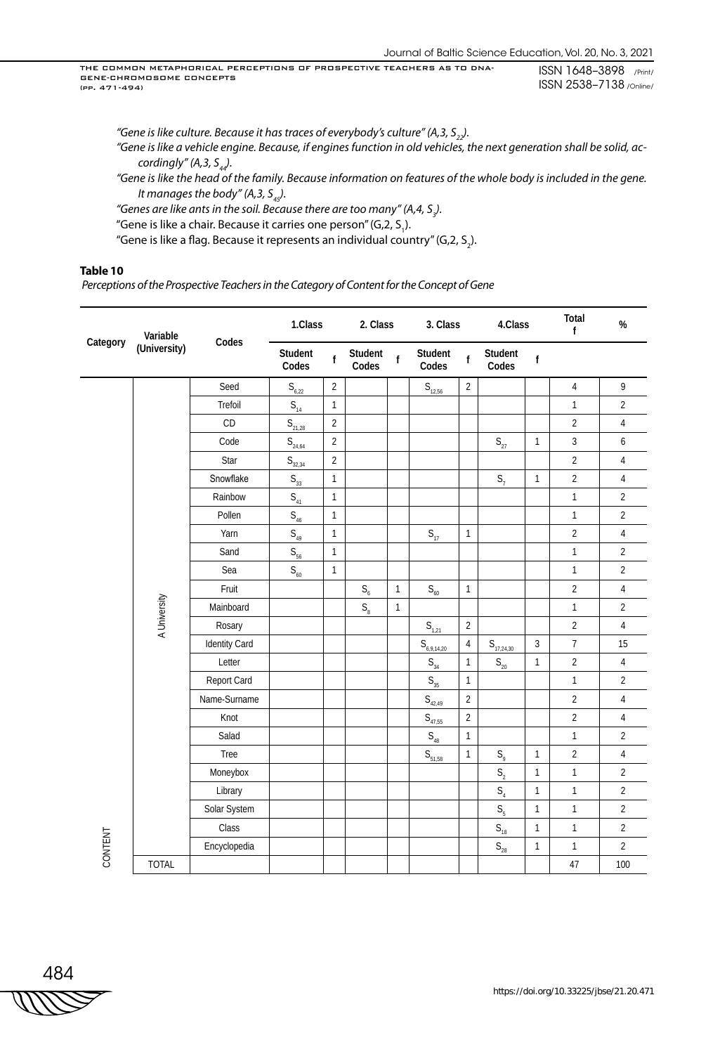*"Gene is like culture. Because it has traces of everybody's culture" (A,3, S<sub>22</sub>). "Gene is like a vehicle engine. Because, if engines function in old vehicles, the next generation shall be solid, accordingly" (A,3, S<sub>44</sub>).* 

*"Gene is like the head of the family. Because information on features of the whole body is included in the gene. It manages the body" (A, 3,*  $S_{45}$ *).* 

"Genes are like ants in the soil. Because there are too many" (A,4, S<sub>3</sub>).

"Gene is like a chair. Because it carries one person" (G,2, S<sub>1</sub>).

"Gene is like a flag. Because it represents an individual country" (G,2, S<sub>2</sub>).

### **Table 10**

 *Perceptions of the Prospective Teachers in the Category of Content for the Concept of Gene*

| Category | Variable     |               | 1.Class                       |                | 2. Class                |              | 3. Class                              |                | 4.Class                               |                | Total<br>f     | $\%$           |
|----------|--------------|---------------|-------------------------------|----------------|-------------------------|--------------|---------------------------------------|----------------|---------------------------------------|----------------|----------------|----------------|
|          | (University) | Codes         | Student<br>Codes              | $\mathbf f$    | Student<br>Codes        | $\mathsf{f}$ | Student<br>Codes                      | $\mathbf f$    | Student<br>Codes                      | $\mathsf f$    |                |                |
|          |              | Seed          | $S_{6,22}$                    | $\overline{2}$ |                         |              | $S_{12,56}$                           | $\overline{2}$ |                                       |                | $\sqrt{4}$     | 9              |
|          |              | Trefoil       | $S_{14}$                      | $\mathbf{1}$   |                         |              |                                       |                |                                       |                | $\mathbf{1}$   | $\overline{2}$ |
|          |              | CD            | $S_{\frac{21,28}{2}}$         | $\overline{2}$ |                         |              |                                       |                |                                       |                | $\overline{2}$ | $\sqrt{4}$     |
|          |              | Code          | $\mathsf{S}_{\mathsf{24,64}}$ | $\overline{2}$ |                         |              |                                       |                | $S_{27}$                              | $\mathbf{1}$   | $\overline{3}$ | 6              |
|          |              | Star          | $S_{32,34}$                   | $\overline{2}$ |                         |              |                                       |                |                                       |                | $\overline{2}$ | $\sqrt{4}$     |
|          |              | Snowflake     | $\mathsf{S}_{_{33}}$          | $\mathbf{1}$   |                         |              |                                       |                | $S_7$                                 | $\mathbf{1}$   | $\overline{2}$ | $\sqrt{4}$     |
|          |              | Rainbow       | $S_{41}$                      | $\mathbf{1}$   |                         |              |                                       |                |                                       |                | $\mathbf{1}$   | $\overline{2}$ |
|          |              | Pollen        | $\mathsf{S}_{_{46}}$          | $\mathbf{1}$   |                         |              |                                       |                |                                       |                | $\mathbf{1}$   | $\overline{2}$ |
|          |              | Yarn          | $\mathsf{S}_{_{49}}$          | $\mathbf{1}$   |                         |              | $\mathsf{S}_{\scriptscriptstyle{17}}$ | $\mathbf{1}$   |                                       |                | $\overline{2}$ | $\overline{4}$ |
|          |              | Sand          | $\mathsf{S}_{56}$             | $\mathbf{1}$   |                         |              |                                       |                |                                       |                | $\mathbf{1}$   | $\overline{2}$ |
|          |              | Sea           | $S_{60}$                      | $\mathbf{1}$   |                         |              |                                       |                |                                       |                | $\mathbf{1}$   | $\overline{2}$ |
|          |              | Fruit         |                               |                | $\mathsf{S}_{_{\!6}}$   | $\mathbf{1}$ | $\mathsf{S}_{\scriptscriptstyle{60}}$ | $\mathbf{1}$   |                                       |                | $\overline{2}$ | $\sqrt{4}$     |
|          |              | Mainboard     |                               |                | $\mathsf{S}_\mathrm{8}$ | $\mathbf{1}$ |                                       |                |                                       |                | $\mathbf{1}$   | $\overline{2}$ |
|          | A University | Rosary        |                               |                |                         |              | $S_{1,21}$                            | $\overline{2}$ |                                       |                | $\overline{2}$ | $\sqrt{4}$     |
|          |              | Identity Card |                               |                |                         |              | $S_{\underline{6,9,14,20}}$           | $\overline{4}$ | $S_{\frac{17,24,30}{2}}$              | $\mathfrak{Z}$ | $\overline{7}$ | 15             |
|          |              | Letter        |                               |                |                         |              | $\mathsf{S}_{_{34}}$                  | $\mathbf{1}$   | $\mathsf{S}_{\mathsf{20}}$            | $\mathbf{1}$   | $\overline{2}$ | $\overline{4}$ |
|          |              | Report Card   |                               |                |                         |              | $\mathsf{S}_{\scriptscriptstyle{35}}$ | $\mathbf{1}$   |                                       |                | $\mathbf{1}$   | $\overline{2}$ |
|          |              | Name-Surname  |                               |                |                         |              | $\mathsf{S}_{_{42,49}}$               | $\overline{2}$ |                                       |                | $\overline{2}$ | $\overline{4}$ |
|          |              | Knot          |                               |                |                         |              | $\mathsf{S}_{_{47,55}}$               | $\sqrt{2}$     |                                       |                | $\overline{2}$ | $\overline{4}$ |
|          |              | Salad         |                               |                |                         |              | $\mathsf{S}_{_{48}}$                  | $\mathbf{1}$   |                                       |                | $\mathbf{1}$   | $\overline{2}$ |
|          |              | Tree          |                               |                |                         |              | $S_{\frac{51,58}{2}}$                 | $\mathbf{1}$   | $S_{\varrho}$                         | $\mathbf{1}$   | $\overline{2}$ | $\sqrt{4}$     |
|          |              | Moneybox      |                               |                |                         |              |                                       |                | $\mathsf{S}_2$                        | $\mathbf{1}$   | $\mathbf{1}$   | $\overline{2}$ |
|          |              | Library       |                               |                |                         |              |                                       |                | $\mathsf{S}_4$                        | $\mathbf{1}$   | $\mathbf{1}$   | $\overline{2}$ |
|          |              | Solar System  |                               |                |                         |              |                                       |                | $S_{\rm s}$                           | $\mathbf{1}$   | $\mathbf{1}$   | $\overline{2}$ |
|          |              | Class         |                               |                |                         |              |                                       |                | $\mathsf{S}_{\scriptscriptstyle{18}}$ | $\mathbf{1}$   | $\mathbf{1}$   | $\overline{2}$ |
| CONTENT  |              | Encyclopedia  |                               |                |                         |              |                                       |                | $\mathsf{S}_{\scriptscriptstyle{28}}$ | $\mathbf{1}$   | $\mathbf{1}$   | $\overline{2}$ |
|          | <b>TOTAL</b> |               |                               |                |                         |              |                                       |                |                                       |                | 47             | 100            |

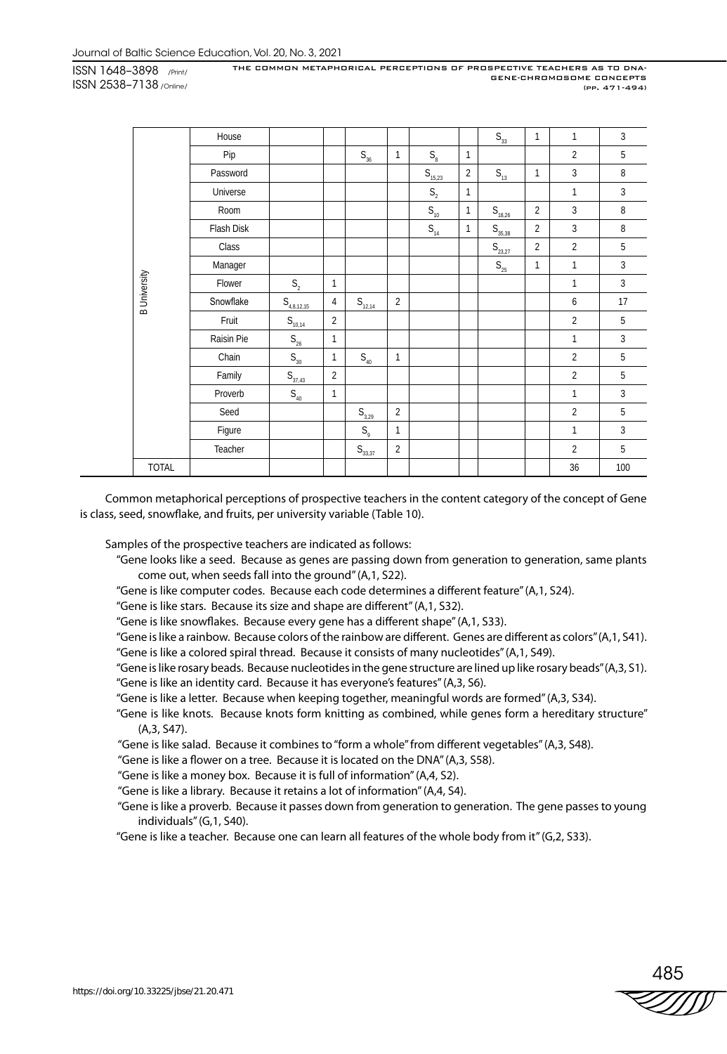|                     | House      |                                       |                |                                      |                |                                       |                | $\mathsf{S}_{_{33}}$    | 1              | 1              | 3            |
|---------------------|------------|---------------------------------------|----------------|--------------------------------------|----------------|---------------------------------------|----------------|-------------------------|----------------|----------------|--------------|
|                     | Pip        |                                       |                | $S_{36}$                             | $\mathbf{1}$   | $\mathsf{S}_\mathrm{8}$               | 1              |                         |                | $\overline{2}$ | 5            |
|                     | Password   |                                       |                |                                      |                | $S_{15,23}$                           | $\overline{2}$ | $S_{13}$                | $\mathbf{1}$   | 3              | 8            |
|                     | Universe   |                                       |                |                                      |                | $\mathsf{S}_2$                        | 1              |                         |                | 1              | $\mathbf{3}$ |
|                     | Room       |                                       |                |                                      |                | $\mathsf{S}_{\scriptscriptstyle{10}}$ | 1              | $S_{\underline{18,26}}$ | $\overline{2}$ | 3              | 8            |
|                     | Flash Disk |                                       |                |                                      |                | $\mathsf{S}_{_{14}}$                  | 1              | $S_{35,38}$             | $\overline{2}$ | 3              | 8            |
|                     | Class      |                                       |                |                                      |                |                                       |                | $S_{23,27}$             | $\overline{2}$ | $\overline{2}$ | 5            |
|                     | Manager    |                                       |                |                                      |                |                                       |                | $S_{25}$                | $\mathbf{1}$   | $\mathbf{1}$   | 3            |
| <b>B</b> University | Flower     | S <sub>2</sub>                        | $\mathbf{1}$   |                                      |                |                                       |                |                         |                | 1              | $\mathbf{3}$ |
|                     | Snowflake  | $S_{4,8,12,15}$                       | 4              | $S_{12,14}$                          | $\overline{2}$ |                                       |                |                         |                | 6              | 17           |
|                     | Fruit      | $S_{10,14}$                           | $\overline{2}$ |                                      |                |                                       |                |                         |                | $\overline{2}$ | 5            |
|                     | Raisin Pie | $\mathsf{S}_{\mathsf{26}}$            | 1              |                                      |                |                                       |                |                         |                | 1              | $\mathbf{3}$ |
|                     | Chain      | $\mathsf{S}_{\scriptscriptstyle{30}}$ | $\mathbf{1}$   | $\mathsf{S}_{_{40}}$                 | $\mathbf{1}$   |                                       |                |                         |                | $\overline{2}$ | 5            |
|                     | Family     | $S_{37,43}$                           | $\overline{2}$ |                                      |                |                                       |                |                         |                | $\overline{2}$ | 5            |
|                     | Proverb    | $\mathsf{S}_{_{40}}$                  | 1              |                                      |                |                                       |                |                         |                | 1              | $\mathbf{3}$ |
|                     | Seed       |                                       |                | $S_{3,29}$                           | $\overline{2}$ |                                       |                |                         |                | $\overline{2}$ | 5            |
|                     | Figure     |                                       |                | $\mathsf{S}_{\scriptscriptstyle{9}}$ | $\mathbf{1}$   |                                       |                |                         |                | 1              | $\mathbf{3}$ |
|                     | Teacher    |                                       |                | $S_{33,37}$                          | $\overline{2}$ |                                       |                |                         |                | $\overline{2}$ | 5            |
| <b>TOTAL</b>        |            |                                       |                |                                      |                |                                       |                |                         |                | 36             | 100          |

Common metaphorical perceptions of prospective teachers in the content category of the concept of Gene is class, seed, snowflake, and fruits, per university variable (Table 10).

Samples of the prospective teachers are indicated as follows:

- "Gene looks like a seed. Because as genes are passing down from generation to generation, same plants come out, when seeds fall into the ground" (A,1, S22).
- "Gene is like computer codes. Because each code determines a different feature" (A,1, S24).
- "Gene is like stars. Because its size and shape are different" (A,1, S32).
- "Gene is like snowflakes. Because every gene has a different shape" (A,1, S33).
- "Gene is like a rainbow. Because colors of the rainbow are different. Genes are different as colors" (A,1, S41).
- "Gene is like a colored spiral thread. Because it consists of many nucleotides" (A,1, S49).
- "Gene is like rosary beads. Because nucleotides in the gene structure are lined up like rosary beads" (A,3, S1). "Gene is like an identity card. Because it has everyone's features" (A,3, S6).
- "Gene is like a letter. Because when keeping together, meaningful words are formed" (A,3, S34).
- "Gene is like knots. Because knots form knitting as combined, while genes form a hereditary structure" (A,3, S47).
- "Gene is like salad. Because it combines to "form a whole" from different vegetables" (A,3, S48).
- "Gene is like a flower on a tree. Because it is located on the DNA" (A,3, S58).
- "Gene is like a money box. Because it is full of information" (A,4, S2).
- "Gene is like a library. Because it retains a lot of information" (A,4, S4).
- "Gene is like a proverb. Because it passes down from generation to generation. The gene passes to young individuals" (G,1, S40).
- "Gene is like a teacher. Because one can learn all features of the whole body from it" (G,2, S33).

– 485<br>*ZZ∭∏*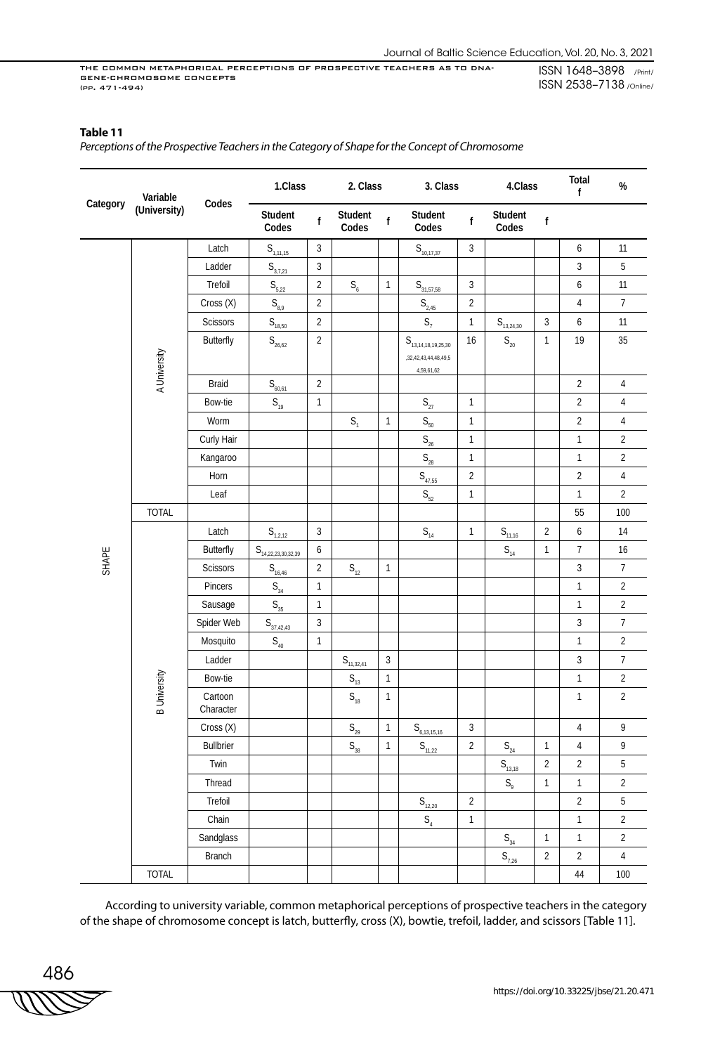## **Table 11**

*Perceptions of the Prospective Teachers in the Category of Shape for the Concept of Chromosome*

|          | Variable            | Codes                | 1.Class                                                      |                | 2. Class                              |              | 3. Class                                                                               | 4.Class        |                                       | Total<br>$\mathbf{f}$ | $\%$             |                  |
|----------|---------------------|----------------------|--------------------------------------------------------------|----------------|---------------------------------------|--------------|----------------------------------------------------------------------------------------|----------------|---------------------------------------|-----------------------|------------------|------------------|
| Category | (University)        |                      | Student<br>Codes                                             | f              | Student<br>Codes                      | $\mathsf{f}$ | Student<br>Codes                                                                       | f              | Student<br>Codes                      | $\sf f$               |                  |                  |
|          |                     | Latch                | $S_{1,11,15}$                                                | 3              |                                       |              | $S_{10,17,37}$                                                                         | 3              |                                       |                       | $\boldsymbol{6}$ | 11               |
|          |                     | Ladder               | $S_{3,7,21}$                                                 | $\sqrt{3}$     |                                       |              |                                                                                        |                |                                       |                       | $\mathbf{3}$     | 5                |
|          |                     | Trefoil              | $S_{\frac{5,22}{}}$                                          | $\overline{2}$ | $\mathsf{S}_\mathrm{6}$               | $\mathbf{1}$ | $S_{31,57,58}$                                                                         | $\mathbf{3}$   |                                       |                       | $\boldsymbol{6}$ | 11               |
|          |                     | Cross (X)            | $\mathsf{S}_{\scriptscriptstyle{\mathsf{8,9}}}$              | $\overline{2}$ |                                       |              | $S_{\frac{2,45}{2}}$                                                                   | $\overline{2}$ |                                       |                       | $\overline{4}$   | $\overline{7}$   |
|          |                     | Scissors             | $S_{18,50}$                                                  | $\overline{2}$ |                                       |              | $S_7$                                                                                  | $\mathbf{1}$   | $S_{13,24,30}$                        | $\mathbf{3}$          | $\boldsymbol{6}$ | 11               |
|          | A University        | <b>Butterfly</b>     | $\mathsf{S}_{\mathsf{26,62}}$                                | $\overline{2}$ |                                       |              | ${\sf S}_{\scriptscriptstyle 13,14,18,19,25,30}$<br>,32,42,43,44,48,49,5<br>4,59,61,62 | 16             | $\mathsf{S}_{\mathsf{20}}$            | 1                     | 19               | 35               |
|          |                     | Braid                | $S_{\frac{60,61}{2}}$                                        | $\overline{2}$ |                                       |              |                                                                                        |                |                                       |                       | $\overline{2}$   | $\overline{4}$   |
|          |                     | Bow-tie              | $\mathsf{S}_{_{19}}$                                         | $\mathbf{1}$   |                                       |              | $\mathsf{S}_{\mathsf{27}}$                                                             | $\mathbf{1}$   |                                       |                       | $\overline{2}$   | 4                |
|          |                     | Worm                 |                                                              |                | S <sub>1</sub>                        | $\mathbf{1}$ | $\mathsf{S}_{\mathsf{50}}$                                                             | $\mathbf{1}$   |                                       |                       | $\overline{2}$   | $\sqrt{4}$       |
|          |                     | Curly Hair           |                                                              |                |                                       |              | $\mathsf{S}_{_{\!26}}$                                                                 | $\mathbf{1}$   |                                       |                       | $\mathbf{1}$     | $\overline{2}$   |
|          |                     | Kangaroo             |                                                              |                |                                       |              | $\mathsf{S}_{\mathsf{28}}$                                                             | $\mathbf{1}$   |                                       |                       | $\mathbf{1}$     | $\overline{2}$   |
|          |                     | Horn                 |                                                              |                |                                       |              | $S_{47,55}$                                                                            | $\overline{2}$ |                                       |                       | $\sqrt{2}$       | 4                |
|          |                     | Leaf                 |                                                              |                |                                       |              | $\mathsf{S}_{52}$                                                                      | $\mathbf{1}$   |                                       |                       | $\mathbf{1}$     | $\overline{2}$   |
|          | <b>TOTAL</b>        |                      |                                                              |                |                                       |              |                                                                                        |                |                                       |                       | 55               | 100              |
|          |                     | Latch                | $S_{1,2,12}$                                                 | 3              |                                       |              | $\mathsf{S}_{_{14}}$                                                                   | $\mathbf{1}$   | $S_{11,16}$                           | $\overline{2}$        | 6                | 14               |
|          |                     | <b>Butterfly</b>     | ${\sf S}_{\scriptscriptstyle 1\underline{4,22,23,30,32,39}}$ | 6              |                                       |              |                                                                                        |                | $\mathsf{S}_{\scriptscriptstyle{14}}$ | $\mathbf{1}$          | $\overline{7}$   | 16               |
| SHAPE    |                     | Scissors             | $S_{\frac{16,46}{2}}$                                        | $\overline{2}$ | $S_{12}$                              | $\mathbf{1}$ |                                                                                        |                |                                       |                       | $\mathfrak{Z}$   | $\overline{7}$   |
|          |                     | Pincers              | $\mathsf{S}_{_{34}}$                                         | $\mathbf{1}$   |                                       |              |                                                                                        |                |                                       |                       | $\mathbf{1}$     | $\overline{2}$   |
|          |                     | Sausage              | $S_{35}$                                                     | $\mathbf{1}$   |                                       |              |                                                                                        |                |                                       |                       | $\mathbf{1}$     | $\overline{2}$   |
|          |                     | Spider Web           | $S_{\frac{37,42,43}{2}}$                                     | 3              |                                       |              |                                                                                        |                |                                       |                       | $\mathfrak{Z}$   | $\overline{7}$   |
|          |                     | Mosquito             | $\mathsf{S}_{_{40}}$                                         | $\mathbf{1}$   |                                       |              |                                                                                        |                |                                       |                       | $\mathbf{1}$     | $\overline{2}$   |
|          |                     | Ladder               |                                                              |                | $S_{11,32,41}$                        | $\sqrt{3}$   |                                                                                        |                |                                       |                       | $\sqrt{3}$       | $\boldsymbol{7}$ |
|          |                     | Bow-tie              |                                                              |                | $\mathsf{S}_{\scriptscriptstyle{13}}$ | $\mathbf{1}$ |                                                                                        |                |                                       |                       | $\mathbf{1}$     | $\overline{2}$   |
|          | <b>B</b> University | Cartoon<br>Character |                                                              |                | $\mathsf{S}_{\scriptscriptstyle{18}}$ | $\mathbf{1}$ |                                                                                        |                |                                       |                       | $\mathbf{1}$     | $\overline{2}$   |
|          |                     | Cross (X)            |                                                              |                | $S_{29}$                              | $\mathbf{1}$ | $S_{6,13,15,16}$                                                                       | 3              |                                       |                       | $\overline{4}$   | $\mathsf{9}$     |
|          |                     | <b>Bullbrier</b>     |                                                              |                | $\mathsf{S}_{_{38}}$                  | $\mathbf{1}$ | $S_{11,22}$                                                                            | $\mathbf{2}$   | $S_{24}$                              | 1                     | 4                | 9                |
|          |                     | Twin                 |                                                              |                |                                       |              |                                                                                        |                | $S_{13,18}$                           | $\overline{2}$        | $\overline{2}$   | 5                |
|          |                     | Thread               |                                                              |                |                                       |              |                                                                                        |                | $\mathsf{S}_{\scriptscriptstyle{9}}$  | $\mathbf{1}$          | $\mathbf{1}$     | $\overline{2}$   |
|          |                     | Trefoil              |                                                              |                |                                       |              | $S_{12,20}$                                                                            | $\overline{2}$ |                                       |                       | $\overline{2}$   | 5                |
|          |                     | Chain                |                                                              |                |                                       |              | $\mathsf{S}_{\scriptscriptstyle{4}}$                                                   | $\mathbf{1}$   |                                       |                       | $\mathbf{1}$     | $\overline{2}$   |
|          |                     | Sandglass            |                                                              |                |                                       |              |                                                                                        |                | $\mathsf{S}_{_{34}}$                  | $\mathbf{1}$          | $\mathbf{1}$     | $\overline{2}$   |
|          |                     | Branch               |                                                              |                |                                       |              |                                                                                        |                | $S_{7,26}$                            | $\overline{2}$        | $\overline{2}$   | $\sqrt{4}$       |
|          | <b>TOTAL</b>        |                      |                                                              |                |                                       |              |                                                                                        |                |                                       |                       | $44\,$           | 100              |

According to university variable, common metaphorical perceptions of prospective teachers in the category of the shape of chromosome concept is latch, butterfly, cross (X), bowtie, trefoil, ladder, and scissors [Table 11].

486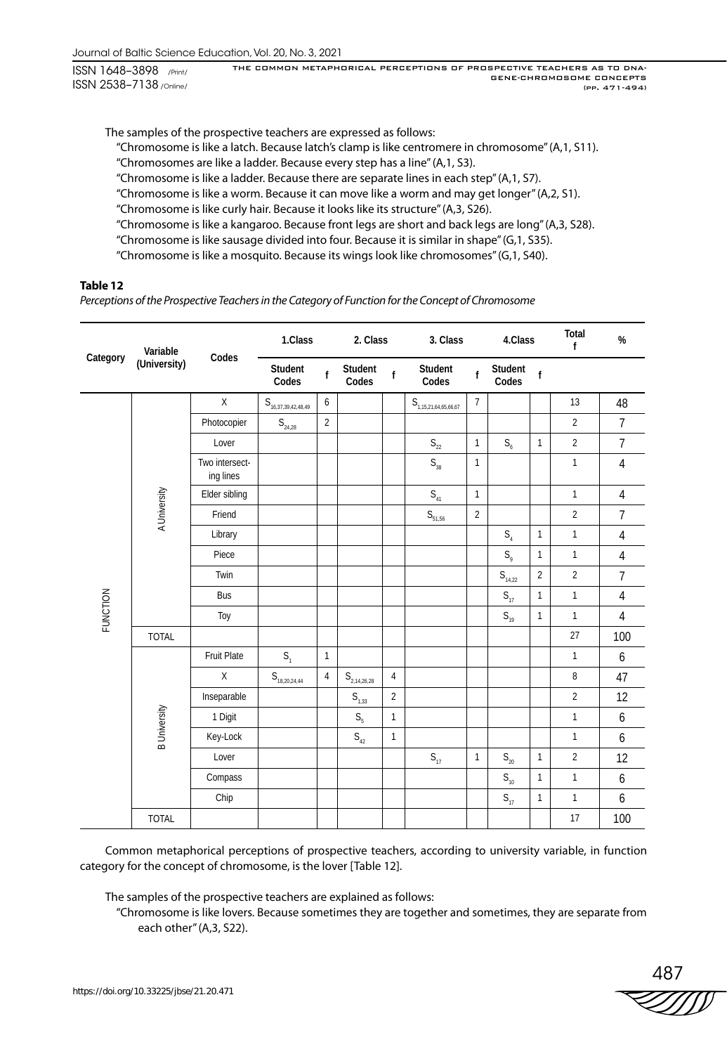The samples of the prospective teachers are expressed as follows:

"Chromosome is like a latch. Because latch's clamp is like centromere in chromosome" (A,1, S11).

"Chromosomes are like a ladder. Because every step has a line" (A,1, S3).

"Chromosome is like a ladder. Because there are separate lines in each step" (A,1, S7).

"Chromosome is like a worm. Because it can move like a worm and may get longer" (A,2, S1).

"Chromosome is like curly hair. Because it looks like its structure" (A,3, S26).

"Chromosome is like a kangaroo. Because front legs are short and back legs are long" (A,3, S28).

"Chromosome is like sausage divided into four. Because it is similar in shape" (G,1, S35).

"Chromosome is like a mosquito. Because its wings look like chromosomes" (G,1, S40).

## **Table 12**

*Perceptions of the Prospective Teachers in the Category of Function for the Concept of Chromosome*

|                 | Variable            |                             | 1.Class                                          |                | 2. Class             |                | 3. Class                                           | 4.Class        |                                       | Total<br>f     | $\%$           |                |
|-----------------|---------------------|-----------------------------|--------------------------------------------------|----------------|----------------------|----------------|----------------------------------------------------|----------------|---------------------------------------|----------------|----------------|----------------|
| Category        | (University)        | Codes                       | Student<br>Codes                                 | $\mathbf{f}$   | Student<br>Codes     | f              | Student<br>Codes                                   | $\mathbf{f}$   | Student<br>Codes                      | $\mathbf{f}$   |                |                |
|                 |                     | $\mathsf{X}$                | ${\sf S}_{\scriptscriptstyle 16,37,39,42,48,49}$ | 6              |                      |                | ${\sf S}_{\scriptscriptstyle 1,15,21,64,65,66,67}$ | $\overline{7}$ |                                       |                | 13             | 48             |
|                 |                     | Photocopier                 | $S_{24,28}$                                      | $\overline{2}$ |                      |                |                                                    |                |                                       |                | $\overline{2}$ | $\overline{7}$ |
|                 |                     | Lover                       |                                                  |                |                      |                | $\mathsf{S}_{\mathsf{22}}$                         | $\mathbf{1}$   | $S_{6}$                               | $\overline{1}$ | $\overline{2}$ | $\overline{7}$ |
|                 |                     | Two intersect-<br>ing lines |                                                  |                |                      |                | $\mathsf{S}_{_{38}}$                               | $\mathbf{1}$   |                                       |                | $\mathbf{1}$   | $\overline{4}$ |
|                 |                     | Elder sibling               |                                                  |                |                      |                | $S_{41}$                                           | $\mathbf{1}$   |                                       |                | $\mathbf{1}$   | $\overline{4}$ |
|                 | A University        | Friend                      |                                                  |                |                      |                | $\mathsf{S}_{51,56}$                               | $\sqrt{2}$     |                                       |                | $\overline{2}$ | $\overline{7}$ |
|                 |                     | Library                     |                                                  |                |                      |                |                                                    |                | $S_4$                                 | $\mathbf{1}$   | $\mathbf{1}$   | $\overline{4}$ |
|                 |                     | Piece                       |                                                  |                |                      |                |                                                    |                | $S_{\rm q}$                           | $\mathbf{1}$   | $\mathbf{1}$   | $\overline{4}$ |
|                 |                     | Twin                        |                                                  |                |                      |                |                                                    |                | $S_{14,22}$                           | 2              | $\overline{2}$ | $\overline{7}$ |
|                 |                     | Bus                         |                                                  |                |                      |                |                                                    |                | $\mathsf{S}_{\scriptscriptstyle{17}}$ | $\mathbf{1}$   | $\mathbf{1}$   | $\overline{4}$ |
| <b>FUNCTION</b> |                     | Toy                         |                                                  |                |                      |                |                                                    |                | $\mathsf{S}_{\scriptscriptstyle{19}}$ | $\mathbf{1}$   | $\mathbf{1}$   | $\overline{4}$ |
|                 | <b>TOTAL</b>        |                             |                                                  |                |                      |                |                                                    |                |                                       |                | 27             | 100            |
|                 |                     | Fruit Plate                 | S <sub>1</sub>                                   | $\mathbf{1}$   |                      |                |                                                    |                |                                       |                | $\mathbf{1}$   | 6              |
|                 |                     | X                           | $S_{18,20,24,44}$                                | $\overline{4}$ | $S_{2,14,26,28}$     | $\overline{4}$ |                                                    |                |                                       |                | 8              | 47             |
|                 |                     | Inseparable                 |                                                  |                | $S_{1,33}$           | $\overline{2}$ |                                                    |                |                                       |                | $\overline{2}$ | 12             |
|                 |                     | 1 Digit                     |                                                  |                | $S_{\rm s}$          | $\mathbf{1}$   |                                                    |                |                                       |                | $\mathbf{1}$   | 6              |
|                 | <b>B</b> University | Key-Lock                    |                                                  |                | $\mathsf{S}_{_{42}}$ | $\mathbf{1}$   |                                                    |                |                                       |                | $\mathbf{1}$   | 6              |
|                 |                     | Lover                       |                                                  |                |                      |                | $S_{17}$                                           | $\mathbf{1}$   | $S_{20}$                              | 1              | $\overline{2}$ | 12             |
|                 |                     | Compass                     |                                                  |                |                      |                |                                                    |                | $S_{10}$                              | 1              | $\mathbf{1}$   | 6              |
|                 |                     | Chip                        |                                                  |                |                      |                |                                                    |                | $S_{17}$                              | $\mathbf{1}$   | $\mathbf{1}$   | 6              |
|                 | <b>TOTAL</b>        |                             |                                                  |                |                      |                |                                                    |                |                                       |                | 17             | 100            |

Common metaphorical perceptions of prospective teachers, according to university variable, in function category for the concept of chromosome, is the lover [Table 12].

The samples of the prospective teachers are explained as follows:

"Chromosome is like lovers. Because sometimes they are together and sometimes, they are separate from each other" (A,3, S22).

487<br>*ZZZZY*D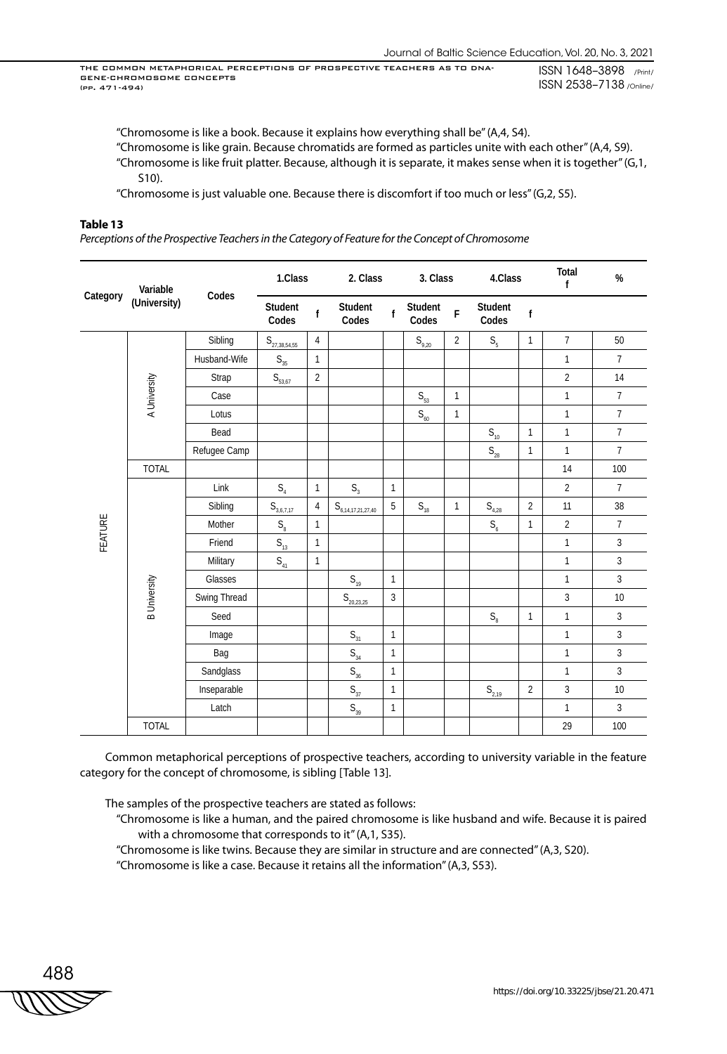"Chromosome is like a book. Because it explains how everything shall be" (A,4, S4).

"Chromosome is like grain. Because chromatids are formed as particles unite with each other" (A,4, S9). "Chromosome is like fruit platter. Because, although it is separate, it makes sense when it is together" (G,1, S10).

"Chromosome is just valuable one. Because there is discomfort if too much or less" (G,2, S5).

#### **Table 13**

*Perceptions of the Prospective Teachers in the Category of Feature for the Concept of Chromosome*

|          | Variable            | Codes        | 1.Class                               |                | 2. Class                                 |                | 3. Class                     |                | 4.Class                               |                | Total<br>f     | $\%$           |
|----------|---------------------|--------------|---------------------------------------|----------------|------------------------------------------|----------------|------------------------------|----------------|---------------------------------------|----------------|----------------|----------------|
| Category | (University)        |              | Student<br>Codes                      | $\mathbf f$    | Student<br>Codes                         | $\mathbf{f}$   | Student<br>Codes             | $\overline{F}$ | Student<br>Codes                      | $\mathsf f$    |                |                |
|          |                     | Sibling      | $S_{\underline{27,38,54,55}}$         | $\overline{4}$ |                                          |                | $\mathsf{S}_{\mathsf{9,20}}$ | $\overline{2}$ | $S_{\rm s}$                           | $\mathbf{1}$   | $\overline{7}$ | 50             |
|          |                     | Husband-Wife | $\mathsf{S}_{_{35}}$                  | $\mathbf{1}$   |                                          |                |                              |                |                                       |                | $\mathbf{1}$   | $\overline{7}$ |
|          |                     | Strap        | $S_{53,67}$                           | $\overline{2}$ |                                          |                |                              |                |                                       |                | $\overline{2}$ | 14             |
|          | A University        | Case         |                                       |                |                                          |                | $\mathsf{S}_{53}$            | $\mathbf{1}$   |                                       |                | $\mathbf{1}$   | $\overline{7}$ |
|          |                     | Lotus        |                                       |                |                                          |                | $\mathsf{S}_{_{60}}$         | $\mathbf{1}$   |                                       |                | $\mathbf{1}$   | $\overline{7}$ |
|          |                     | Bead         |                                       |                |                                          |                |                              |                | $\mathsf{S}_{\scriptscriptstyle{10}}$ | $\mathbf{1}$   | $\mathbf{1}$   | $\overline{7}$ |
|          |                     | Refugee Camp |                                       |                |                                          |                |                              |                | $\mathsf{S}_{\mathsf{28}}$            | $\mathbf{1}$   | $\mathbf{1}$   | $\overline{7}$ |
|          | <b>TOTAL</b>        |              |                                       |                |                                          |                |                              |                |                                       |                | 14             | 100            |
|          |                     | Link         | $\mathsf{S}_{\scriptscriptstyle{4}}$  | $\mathbf{1}$   | S <sub>3</sub>                           | $\mathbf{1}$   |                              |                |                                       |                | $\overline{2}$ | $\overline{7}$ |
|          |                     | Sibling      | $S_{3,6,7,17}$                        | 4              | ${\sf S}_{6,\underline{14,17,21,27,40}}$ | $\overline{5}$ | $\mathsf{S}_{_{18}}$         | $\mathbf{1}$   | $S_{4,28}$                            | $\overline{2}$ | 11             | 38             |
| FEATURE  |                     | Mother       | $\mathsf{S}_\mathrm{8}$               | $\mathbf{1}$   |                                          |                |                              |                | $S_{6}$                               | 1              | $\overline{2}$ | $\overline{7}$ |
|          |                     | Friend       | $\mathsf{S}_{\scriptscriptstyle{13}}$ | $\mathbf{1}$   |                                          |                |                              |                |                                       |                | $\mathbf{1}$   | 3              |
|          |                     | Military     | $\mathsf{S}_{_{41}}$                  | $\mathbf{1}$   |                                          |                |                              |                |                                       |                | $\mathbf{1}$   | $\overline{3}$ |
|          |                     | Glasses      |                                       |                | $\mathsf{S}_{\scriptscriptstyle{19}}$    | $\mathbf{1}$   |                              |                |                                       |                | $\mathbf{1}$   | 3              |
|          | <b>B</b> University | Swing Thread |                                       |                | $S_{\underline{20,23,25}}$               | 3              |                              |                |                                       |                | 3              | 10             |
|          |                     | Seed         |                                       |                |                                          |                |                              |                | $\mathsf{S}_\mathrm{8}$               | 1              | $\mathbf{1}$   | 3              |
|          |                     | Image        |                                       |                | $\mathsf{S}_{\scriptscriptstyle{31}}$    | $\mathbf{1}$   |                              |                |                                       |                | $\mathbf{1}$   | $\overline{3}$ |
|          |                     | Bag          |                                       |                | $\mathsf{S}_{_{34}}$                     | $\mathbf{1}$   |                              |                |                                       |                | $\mathbf{1}$   | $\overline{3}$ |
|          |                     | Sandglass    |                                       |                | $\mathsf{S}_{_{36}}$                     | $\mathbf{1}$   |                              |                |                                       |                | $\mathbf{1}$   | 3              |
|          |                     | Inseparable  |                                       |                | $\mathsf{S}_{_{37}}$                     | $\mathbf{1}$   |                              |                | $S_{2,19}$                            | $\overline{2}$ | 3              | 10             |
|          |                     | Latch        |                                       |                | $\mathsf{S}_{_{39}}$                     | $\mathbf{1}$   |                              |                |                                       |                | $\mathbf{1}$   | $\overline{3}$ |
|          | <b>TOTAL</b>        |              |                                       |                |                                          |                |                              |                |                                       |                | 29             | 100            |

Common metaphorical perceptions of prospective teachers, according to university variable in the feature category for the concept of chromosome, is sibling [Table 13].

The samples of the prospective teachers are stated as follows:

- "Chromosome is like a human, and the paired chromosome is like husband and wife. Because it is paired with a chromosome that corresponds to it" (A,1, S35).
- "Chromosome is like twins. Because they are similar in structure and are connected" (A,3, S20).

"Chromosome is like a case. Because it retains all the information" (A,3, S53).

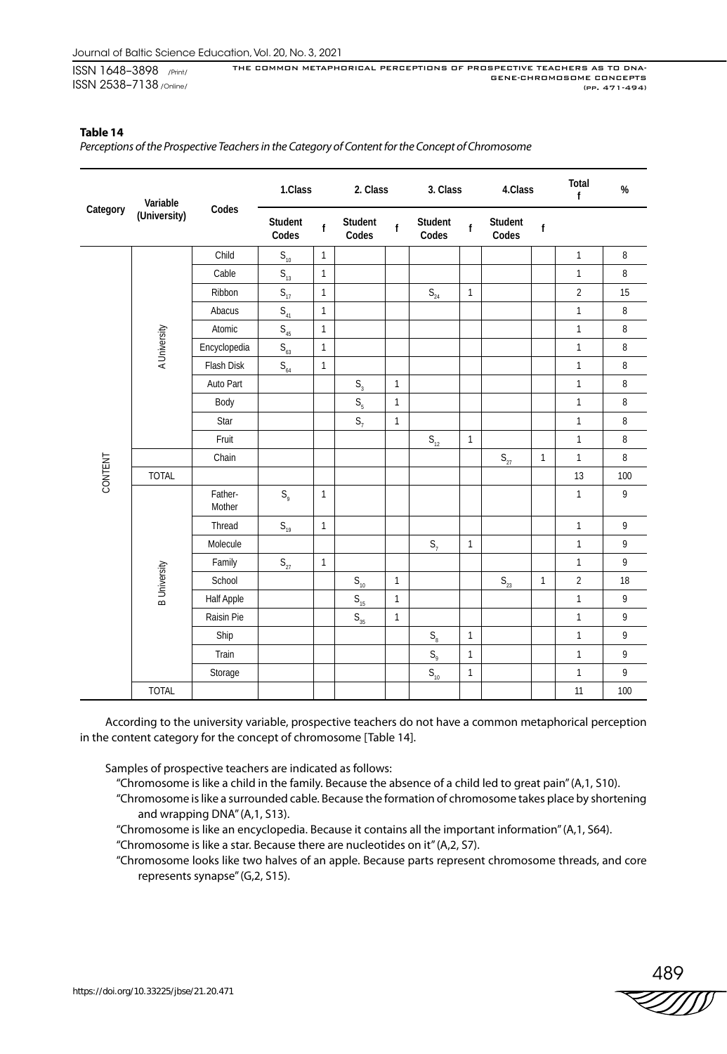## **Table 14**

*Perceptions of the Prospective Teachers in the Category of Content for the Concept of Chromosome*

|          |                     | Variable          |                                       | 1.Class      | 2. Class                              |              | 3. Class                              |              | 4.Class                    |              | Total<br>f     | %                |
|----------|---------------------|-------------------|---------------------------------------|--------------|---------------------------------------|--------------|---------------------------------------|--------------|----------------------------|--------------|----------------|------------------|
| Category | (University)        | Codes             | Student<br>Codes                      | $\mathbf{f}$ | Student<br>Codes                      | $\mathsf{f}$ | Student<br>Codes                      | $\mathbf f$  | Student<br>Codes           | $\mathsf f$  |                |                  |
|          |                     | Child             | $\mathsf{S}_{\scriptscriptstyle{10}}$ | $\mathbf{1}$ |                                       |              |                                       |              |                            |              | $\mathbf{1}$   | $\, 8$           |
|          |                     | Cable             | $\mathsf{S}_{\scriptscriptstyle{13}}$ | $\mathbf{1}$ |                                       |              |                                       |              |                            |              | $\mathbf{1}$   | $\, 8$           |
|          |                     | Ribbon            | $S_{17}$                              | $\mathbf{1}$ |                                       |              | $\mathsf{S}_{\scriptscriptstyle 24}$  | $\mathbf{1}$ |                            |              | $\overline{2}$ | 15               |
|          |                     | Abacus            | $\mathsf{S}_{_{41}}$                  | $\mathbf{1}$ |                                       |              |                                       |              |                            |              | $\mathbf{1}$   | $\, 8$           |
|          |                     | Atomic            | $\mathsf{S}_{\scriptscriptstyle{45}}$ | $\mathbf{1}$ |                                       |              |                                       |              |                            |              | $\mathbf{1}$   | $\, 8$           |
|          | A University        | Encyclopedia      | $\mathsf{S}_{_{63}}$                  | $\mathbf{1}$ |                                       |              |                                       |              |                            |              | $\mathbf{1}$   | $\, 8$           |
|          |                     | Flash Disk        | $\mathsf{S}_{_{64}}$                  | $\mathbf{1}$ |                                       |              |                                       |              |                            |              | $\mathbf{1}$   | $\, 8$           |
|          |                     | Auto Part         |                                       |              | $\mathsf{S}_{\scriptscriptstyle{3}}$  | $\mathbf{1}$ |                                       |              |                            |              | $\mathbf{1}$   | $\, 8$           |
|          |                     | Body              |                                       |              | S <sub>5</sub>                        | $\mathbf{1}$ |                                       |              |                            |              | $\mathbf{1}$   | $\, 8$           |
|          |                     | Star              |                                       |              | $S_1$                                 | $\mathbf{1}$ |                                       |              |                            |              | $\mathbf{1}$   | $\, 8$           |
|          |                     | Fruit             |                                       |              |                                       |              | $\mathsf{S}_{_{12}}$                  | $\mathbf{1}$ |                            |              | $\mathbf{1}$   | $\, 8$           |
|          |                     | Chain             |                                       |              |                                       |              |                                       |              | $\mathsf{S}_{\mathsf{27}}$ | $\mathbf{1}$ | $\mathbf{1}$   | $\, 8$           |
| CONTENT  | <b>TOTAL</b>        |                   |                                       |              |                                       |              |                                       |              |                            |              | 13             | 100              |
|          |                     | Father-<br>Mother | $S_{\rm q}$                           | $\mathbf{1}$ |                                       |              |                                       |              |                            |              | $\mathbf{1}$   | $\boldsymbol{9}$ |
|          |                     | Thread            | $\mathsf{S}_{\scriptscriptstyle{19}}$ | $\mathbf{1}$ |                                       |              |                                       |              |                            |              | $\mathbf{1}$   | $\mathsf{q}$     |
|          |                     | Molecule          |                                       |              |                                       |              | $S_7$                                 | $\mathbf{1}$ |                            |              | $\mathbf{1}$   | $\boldsymbol{9}$ |
|          |                     | Family            | $\mathsf{S}_{\mathsf{27}}$            | $\mathbf{1}$ |                                       |              |                                       |              |                            |              | $\mathbf{1}$   | 9                |
|          | <b>B</b> University | School            |                                       |              | $\mathsf{S}_{\scriptscriptstyle{10}}$ | $\mathbf{1}$ |                                       |              | $\mathsf{S}_{\mathsf{23}}$ | $\mathbf{1}$ | $\overline{2}$ | 18               |
|          |                     | Half Apple        |                                       |              | $\mathsf{S}_{\scriptscriptstyle{15}}$ | $\mathbf{1}$ |                                       |              |                            |              | $\mathbf{1}$   | $\mathsf{g}$     |
|          |                     | Raisin Pie        |                                       |              | $S_{35}$                              | $\mathbf{1}$ |                                       |              |                            |              | $\mathbf{1}$   | 9                |
|          |                     | Ship              |                                       |              |                                       |              | $\mathsf{S}_\mathrm{8}$               | $\mathbf{1}$ |                            |              | $\mathbf{1}$   | $\boldsymbol{9}$ |
|          |                     | Train             |                                       |              |                                       |              | $\mathsf{S}_{\scriptscriptstyle{9}}$  | $\mathbf{1}$ |                            |              | $\mathbf{1}$   | 9                |
|          |                     | Storage           |                                       |              |                                       |              | $\mathsf{S}_{\scriptscriptstyle{10}}$ | $\mathbf{1}$ |                            |              | $\mathbf{1}$   | $\mathsf{g}$     |
|          | <b>TOTAL</b>        |                   |                                       |              |                                       |              |                                       |              |                            |              | 11             | 100              |

According to the university variable, prospective teachers do not have a common metaphorical perception in the content category for the concept of chromosome [Table 14].

Samples of prospective teachers are indicated as follows:

- "Chromosome is like a child in the family. Because the absence of a child led to great pain" (A,1, S10).
- "Chromosome is like a surrounded cable. Because the formation of chromosome takes place by shortening and wrapping DNA" (A,1, S13).
- "Chromosome is like an encyclopedia. Because it contains all the important information" (A,1, S64).
- "Chromosome is like a star. Because there are nucleotides on it" (A,2, S7).
- "Chromosome looks like two halves of an apple. Because parts represent chromosome threads, and core represents synapse" (G,2, S15).

489<br>VIII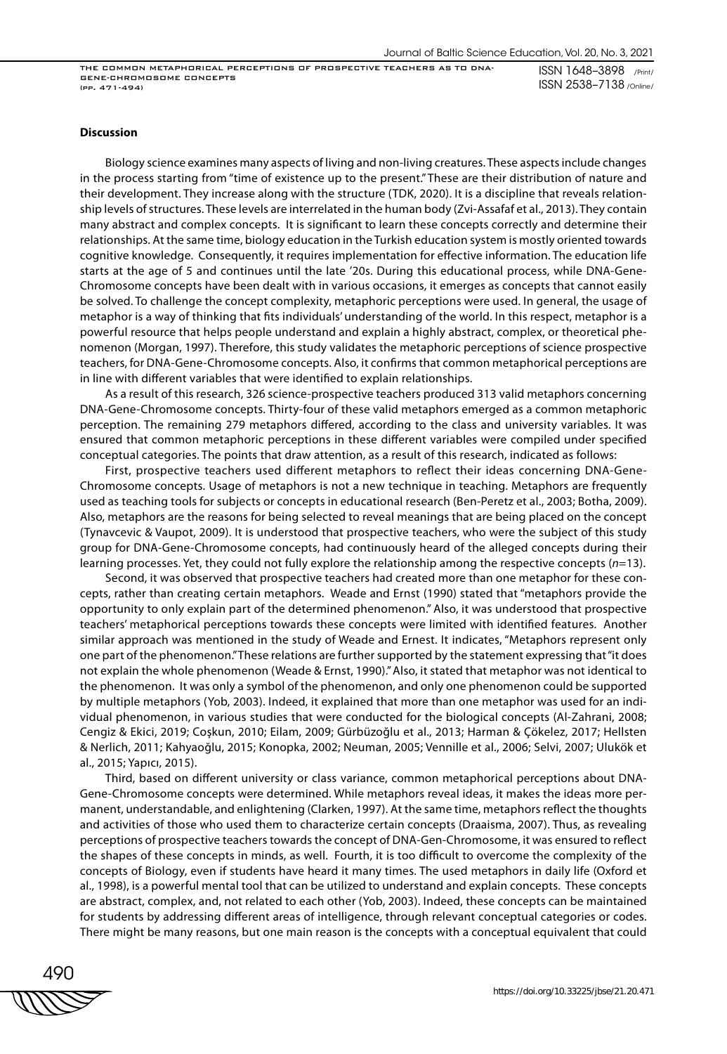ISSN 1648–3898 /Print/ ISSN 2538–7138 /Online/

#### **Discussion**

Biology science examines many aspects of living and non-living creatures. These aspects include changes in the process starting from "time of existence up to the present." These are their distribution of nature and their development. They increase along with the structure (TDK, 2020). It is a discipline that reveals relationship levels of structures. These levels are interrelated in the human body (Zvi-Assafaf et al., 2013). They contain many abstract and complex concepts. It is significant to learn these concepts correctly and determine their relationships. At the same time, biology education in the Turkish education system is mostly oriented towards cognitive knowledge. Consequently, it requires implementation for effective information. The education life starts at the age of 5 and continues until the late '20s. During this educational process, while DNA-Gene-Chromosome concepts have been dealt with in various occasions, it emerges as concepts that cannot easily be solved. To challenge the concept complexity, metaphoric perceptions were used. In general, the usage of metaphor is a way of thinking that fits individuals' understanding of the world. In this respect, metaphor is a powerful resource that helps people understand and explain a highly abstract, complex, or theoretical phenomenon (Morgan, 1997). Therefore, this study validates the metaphoric perceptions of science prospective teachers, for DNA-Gene-Chromosome concepts. Also, it confirms that common metaphorical perceptions are in line with different variables that were identified to explain relationships.

As a result of this research, 326 science-prospective teachers produced 313 valid metaphors concerning DNA-Gene-Chromosome concepts. Thirty-four of these valid metaphors emerged as a common metaphoric perception. The remaining 279 metaphors differed, according to the class and university variables. It was ensured that common metaphoric perceptions in these different variables were compiled under specified conceptual categories. The points that draw attention, as a result of this research, indicated as follows:

First, prospective teachers used different metaphors to reflect their ideas concerning DNA-Gene-Chromosome concepts. Usage of metaphors is not a new technique in teaching. Metaphors are frequently used as teaching tools for subjects or concepts in educational research (Ben-Peretz et al., 2003; Botha, 2009). Also, metaphors are the reasons for being selected to reveal meanings that are being placed on the concept (Tynavcevic & Vaupot, 2009). It is understood that prospective teachers, who were the subject of this study group for DNA-Gene-Chromosome concepts, had continuously heard of the alleged concepts during their learning processes. Yet, they could not fully explore the relationship among the respective concepts (*n*=13).

Second, it was observed that prospective teachers had created more than one metaphor for these concepts, rather than creating certain metaphors. Weade and Ernst (1990) stated that "metaphors provide the opportunity to only explain part of the determined phenomenon." Also, it was understood that prospective teachers' metaphorical perceptions towards these concepts were limited with identified features. Another similar approach was mentioned in the study of Weade and Ernest. It indicates, "Metaphors represent only one part of the phenomenon." These relations are further supported by the statement expressing that "it does not explain the whole phenomenon (Weade & Ernst, 1990)." Also, it stated that metaphor was not identical to the phenomenon. It was only a symbol of the phenomenon, and only one phenomenon could be supported by multiple metaphors (Yob, 2003). Indeed, it explained that more than one metaphor was used for an individual phenomenon, in various studies that were conducted for the biological concepts (Al-Zahrani, 2008; Cengiz & Ekici, 2019; Coşkun, 2010; Eilam, 2009; Gürbüzoğlu et al., 2013; Harman & Çökelez, 2017; Hellsten & Nerlich, 2011; Kahyaoğlu, 2015; Konopka, 2002; Neuman, 2005; Vennille et al., 2006; Selvi, 2007; Ulukök et al., 2015; Yapıcı, 2015).

Third, based on different university or class variance, common metaphorical perceptions about DNA-Gene-Chromosome concepts were determined. While metaphors reveal ideas, it makes the ideas more permanent, understandable, and enlightening (Clarken, 1997). At the same time, metaphors reflect the thoughts and activities of those who used them to characterize certain concepts (Draaisma, 2007). Thus, as revealing perceptions of prospective teachers towards the concept of DNA-Gen-Chromosome, it was ensured to reflect the shapes of these concepts in minds, as well. Fourth, it is too difficult to overcome the complexity of the concepts of Biology, even if students have heard it many times. The used metaphors in daily life (Oxford et al., 1998), is a powerful mental tool that can be utilized to understand and explain concepts. These concepts are abstract, complex, and, not related to each other (Yob, 2003). Indeed, these concepts can be maintained for students by addressing different areas of intelligence, through relevant conceptual categories or codes. There might be many reasons, but one main reason is the concepts with a conceptual equivalent that could

490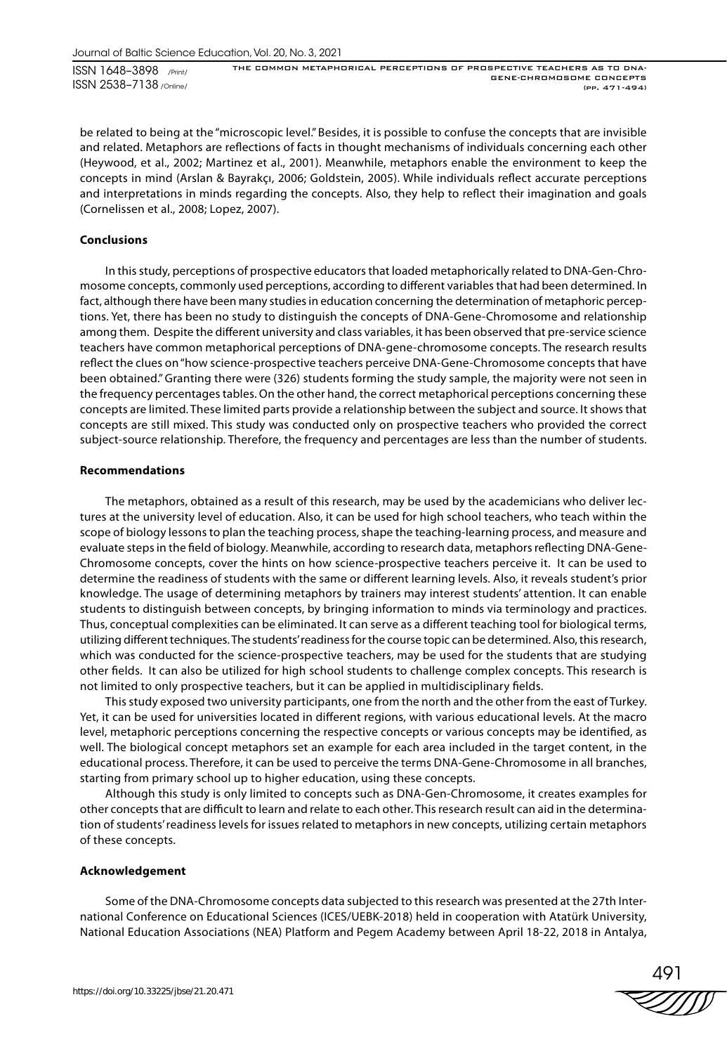ISSN 1648–3898 /Print/ ISSN 2538–7138 /Online/

THE COMMON METAPHORICAL PERCEPTIONS OF PROSPECTIVE TEACHERS AS TO DNA-GENE-CHROMOSOME CONCEPTS (pp. 471-494)

be related to being at the "microscopic level." Besides, it is possible to confuse the concepts that are invisible and related. Metaphors are reflections of facts in thought mechanisms of individuals concerning each other (Heywood, et al., 2002; Martinez et al., 2001). Meanwhile, metaphors enable the environment to keep the concepts in mind (Arslan & Bayrakçı, 2006; Goldstein, 2005). While individuals reflect accurate perceptions and interpretations in minds regarding the concepts. Also, they help to reflect their imagination and goals (Cornelissen et al., 2008; Lopez, 2007).

## **Conclusions**

In this study, perceptions of prospective educators that loaded metaphorically related to DNA-Gen-Chromosome concepts, commonly used perceptions, according to different variables that had been determined. In fact, although there have been many studies in education concerning the determination of metaphoric perceptions. Yet, there has been no study to distinguish the concepts of DNA-Gene-Chromosome and relationship among them. Despite the different university and class variables, it has been observed that pre-service science teachers have common metaphorical perceptions of DNA-gene-chromosome concepts. The research results reflect the clues on "how science-prospective teachers perceive DNA-Gene-Chromosome concepts that have been obtained." Granting there were (326) students forming the study sample, the majority were not seen in the frequency percentages tables. On the other hand, the correct metaphorical perceptions concerning these concepts are limited. These limited parts provide a relationship between the subject and source. It shows that concepts are still mixed. This study was conducted only on prospective teachers who provided the correct subject-source relationship. Therefore, the frequency and percentages are less than the number of students.

## **Recommendations**

The metaphors, obtained as a result of this research, may be used by the academicians who deliver lectures at the university level of education. Also, it can be used for high school teachers, who teach within the scope of biology lessons to plan the teaching process, shape the teaching-learning process, and measure and evaluate steps in the field of biology. Meanwhile, according to research data, metaphors reflecting DNA-Gene-Chromosome concepts, cover the hints on how science-prospective teachers perceive it. It can be used to determine the readiness of students with the same or different learning levels. Also, it reveals student's prior knowledge. The usage of determining metaphors by trainers may interest students' attention. It can enable students to distinguish between concepts, by bringing information to minds via terminology and practices. Thus, conceptual complexities can be eliminated. It can serve as a different teaching tool for biological terms, utilizing different techniques. The students' readiness for the course topic can be determined. Also, this research, which was conducted for the science-prospective teachers, may be used for the students that are studying other fields. It can also be utilized for high school students to challenge complex concepts. This research is not limited to only prospective teachers, but it can be applied in multidisciplinary fields.

This study exposed two university participants, one from the north and the other from the east of Turkey. Yet, it can be used for universities located in different regions, with various educational levels. At the macro level, metaphoric perceptions concerning the respective concepts or various concepts may be identified, as well. The biological concept metaphors set an example for each area included in the target content, in the educational process. Therefore, it can be used to perceive the terms DNA-Gene-Chromosome in all branches, starting from primary school up to higher education, using these concepts.

Although this study is only limited to concepts such as DNA-Gen-Chromosome, it creates examples for other concepts that are difficult to learn and relate to each other. This research result can aid in the determination of students' readiness levels for issues related to metaphors in new concepts, utilizing certain metaphors of these concepts.

#### **Acknowledgement**

Some of the DNA-Chromosome concepts data subjected to this research was presented at the 27th International Conference on Educational Sciences (ICES/UEBK-2018) held in cooperation with Atatürk University, National Education Associations (NEA) Platform and Pegem Academy between April 18-22, 2018 in Antalya,

491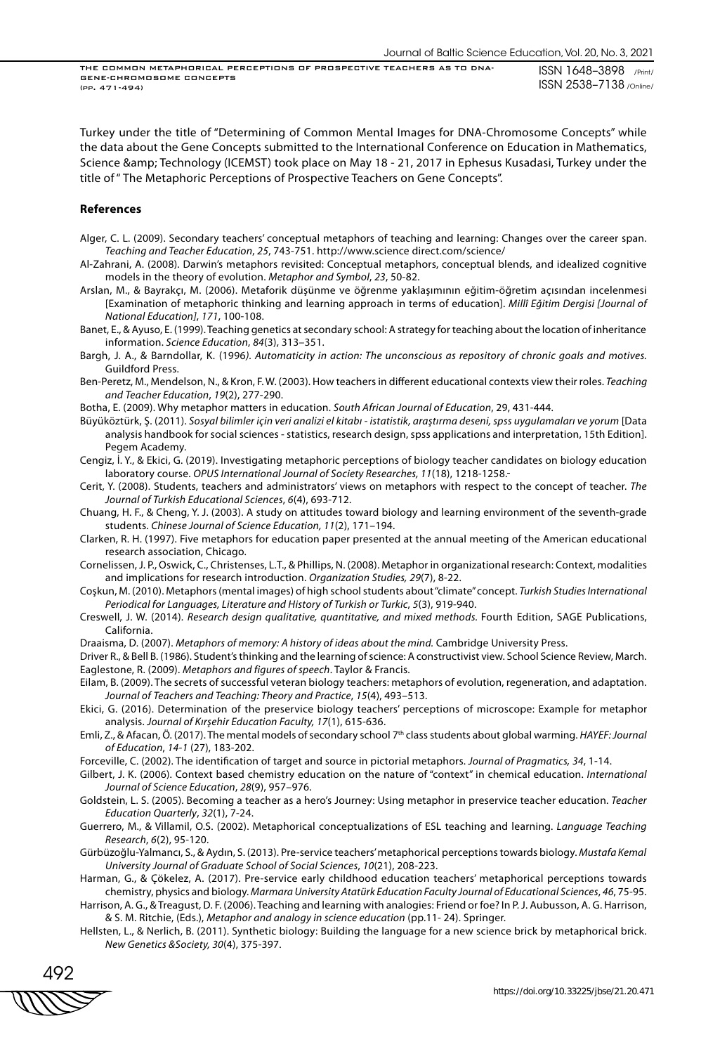ISSN 1648–3898 /Print/ ISSN 2538–7138 /Online/

Turkey under the title of "Determining of Common Mental Images for DNA-Chromosome Concepts" while the data about the Gene Concepts submitted to the International Conference on Education in Mathematics, Science & amp; Technology (ICEMST) took place on May 18 - 21, 2017 in Ephesus Kusadasi, Turkey under the title of " The Metaphoric Perceptions of Prospective Teachers on Gene Concepts".

#### **References**

- Alger, C. L. (2009). Secondary teachers' conceptual metaphors of teaching and learning: Changes over the career span. *Teaching and Teacher Education*, *25*, 743-751. http://www.science direct.com/science/
- Al-Zahrani, A. (2008). Darwin's metaphors revisited: Conceptual metaphors, conceptual blends, and idealized cognitive models in the theory of evolution. *Metaphor and Symbol*, *23*, 50-82.
- Arslan, M., & Bayrakçı, M. (2006). Metaforik düşünme ve öğrenme yaklaşımının eğitim-öğretim açısından incelenmesi [Examination of metaphoric thinking and learning approach in terms of education]. *Millî Eğitim Dergisi [Journal of National Education]*, *171*, 100-108.
- Banet, E., & Ayuso, E. (1999). Teaching genetics at secondary school: A strategy for teaching about the location of inheritance information. *Science Education*, *84*(3), 313–351.

Bargh, J. A., & Barndollar, K. (1996*). Automaticity in action: The unconscious as repository of chronic goals and motives.* Guildford Press.

- Ben-Peretz, M., Mendelson, N., & Kron, F. W. (2003). How teachers in different educational contexts view their roles. *Teaching and Teacher Education*, *19*(2), 277-290.
- Botha, E. (2009). Why metaphor matters in education. *South African Journal of Education*, 29, 431-444.
- Büyüköztürk, Ş. (2011). *Sosyal bilimler için veri analizi el kitabı istatistik, araştırma deseni, spss uygulamaları ve yorum* [Data analysis handbook for social sciences - statistics, research design, spss applications and interpretation, 15th Edition]. Pegem Academy.
- Cengiz, İ. Y., & Ekici, G. (2019). Investigating metaphoric perceptions of biology teacher candidates on biology education laboratory course. *OPUS International Journal of Society Researches, 11*(18), 1218-1258.
- Cerit, Y. (2008). Students, teachers and administrators' views on metaphors with respect to the concept of teacher. *The Journal of Turkish Educational Sciences*, *6*(4), 693-712.
- Chuang, H. F., & Cheng, Y. J. (2003). A study on attitudes toward biology and learning environment of the seventh-grade students. *Chinese Journal of Science Education, 11*(2), 171–194.
- Clarken, R. H. (1997). Five metaphors for education paper presented at the annual meeting of the American educational research association, Chicago.
- Cornelissen, J. P., Oswick, C., Christenses, L.T., & Phillips, N. (2008). Metaphor in organizational research: Context, modalities and implications for research introduction. *Organization Studies, 29*(7), 8-22.
- Coşkun, M. (2010). Metaphors (mental images) of high school students about "climate" concept. *Turkish Studies International Periodical for Languages, Literature and History of Turkish or Turkic*, *5*(3), 919-940.
- Creswell, J. W. (2014). *Research design qualitative, quantitative, and mixed methods.* Fourth Edition, SAGE Publications, California.
- Draaisma, D. (2007). *Metaphors of memory: A history of ideas about the mind.* Cambridge University Press.

Driver R., & Bell B. (1986). Student's thinking and the learning of science: A constructivist view. School Science Review, March. Eaglestone, R. (2009). *Metaphors and figures of speech*. Taylor & Francis.

Eilam, B. (2009). The secrets of successful veteran biology teachers: metaphors of evolution, regeneration, and adaptation. *Journal of Teachers and Teaching: Theory and Practice*, *15*(4), 493–513.

- Ekici, G. (2016). Determination of the preservice biology teachers' perceptions of microscope: Example for metaphor analysis. *Journal of Kırşehir Education Faculty, 17*(1), 615-636.
- Emli, Z., & Afacan, Ö. (2017). The mental models of secondary school 7th class students about global warming. *HAYEF: Journal of Education*, *14-1* (27), 183-202.
- Forceville, C. (2002). The identification of target and source in pictorial metaphors. *Journal of Pragmatics, 34*, 1-14.
- Gilbert, J. K. (2006). Context based chemistry education on the nature of "context" in chemical education. *International Journal of Science Education*, *28*(9), 957–976.
- Goldstein, L. S. (2005). Becoming a teacher as a hero's Journey: Using metaphor in preservice teacher education. *Teacher Education Quarterly*, *32*(1), 7-24.
- Guerrero, M., & Villamil, O.S. (2002). Metaphorical conceptualizations of ESL teaching and learning. *Language Teaching Research*, *6*(2), 95-120.
- Gürbüzoğlu-Yalmancı, S., & Aydın, S. (2013). Pre-service teachers' metaphorical perceptions towards biology. *Mustafa Kemal University Journal of Graduate School of Social Sciences*, *10*(21), 208-223.
- Harman, G., & Çökelez, A. (2017). Pre-service early childhood education teachers' metaphorical perceptions towards chemistry, physics and biology. *Marmara University Atatürk Education Faculty Journal of Educational Sciences*, *46*, 75-95.
- Harrison, A. G., & Treagust, D. F. (2006). Teaching and learning with analogies: Friend or foe? In P. J. Aubusson, A. G. Harrison, & S. M. Ritchie, (Eds.), *Metaphor and analogy in science education* (pp.11- 24). Springer.
- Hellsten, L., & Nerlich, B. (2011). Synthetic biology: Building the language for a new science brick by metaphorical brick. *New Genetics &Society, 30*(4), 375-397.

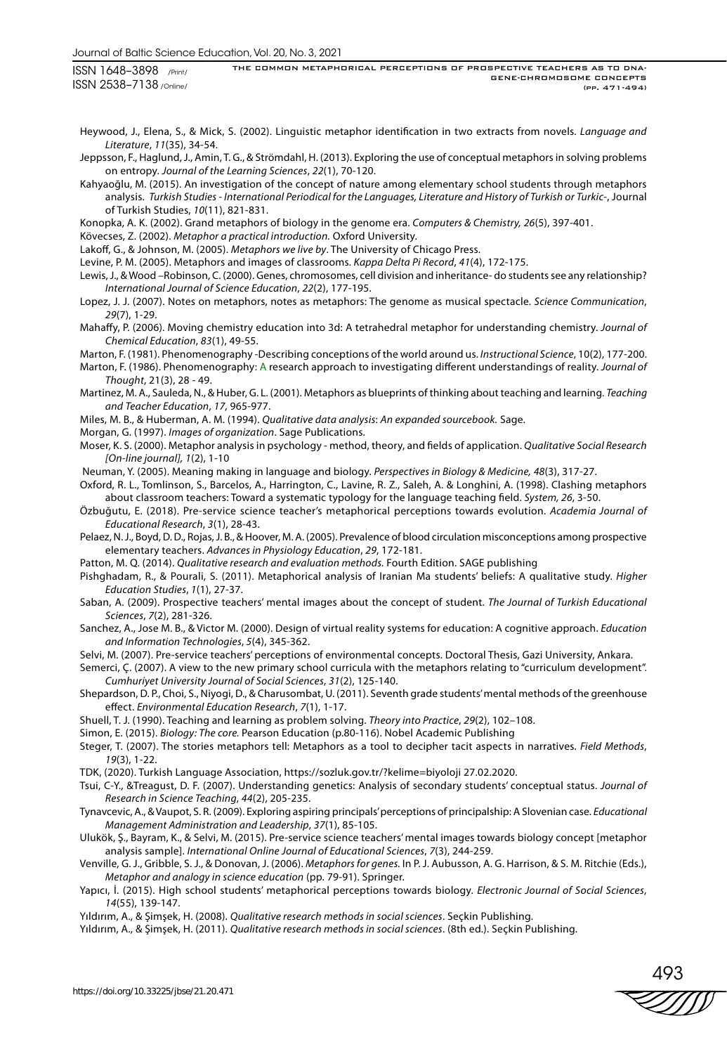ISSN 1648–3898 /Print/ ISSN 2538–7138 /Online/ THE COMMON METAPHORICAL PERCEPTIONS OF PROSPECTIVE TEACHERS AS TO DNA-GENE-CHROMOSOME CONCEPTS (pp. 471-494)

Heywood, J., Elena, S., & Mick, S. (2002). Linguistic metaphor identification in two extracts from novels. *Language and Literature*, *11*(35), 34-54.

Jeppsson, F., Haglund, J., Amin, T. G., & Strömdahl, H. (2013). Exploring the use of conceptual metaphors in solving problems on entropy. *Journal of the Learning Sciences*, *22*(1), 70-120.

Kahyaoğlu, M. (2015). An investigation of the concept of nature among elementary school students through metaphors analysis. *Turkish Studies - International Periodical for the Languages, Literature and History of Turkish or Turkic*-, Journal of Turkish Studies, *10*(11), 821-831.

Konopka, A. K. (2002). Grand metaphors of biology in the genome era. *Computers & Chemistry, 26*(5), 397-401.

Kövecses, Z. (2002). *Metaphor a practical introduction.* Oxford University.

Lakoff, G., & Johnson, M. (2005). *Metaphors we live by*. The University of Chicago Press.

Levine, P. M. (2005). Metaphors and images of classrooms*. Kappa Delta Pi Record*, *41*(4), 172-175.

Lewis, J., & Wood –Robinson, C. (2000). Genes, chromosomes, cell division and inheritance- do students see any relationship? *International Journal of Science Education*, *22*(2), 177-195.

- Lopez, J. J. (2007). Notes on metaphors, notes as metaphors: The genome as musical spectacle. *Science Communication*, *29*(7), 1-29.
- Mahaffy, P. (2006). Moving chemistry education into 3d: A tetrahedral metaphor for understanding chemistry. *Journal of Chemical Education*, *83*(1), 49-55.

Marton, F. (1981). Phenomenography -Describing conceptions of the world around us. *Instructional Science*, 10(2), 177-200.

Marton, F. (1986). Phenomenography: A research approach to investigating different understandings of reality. *Journal of Thought*, 21(3), 28 - 49.

Martinez, M. A., Sauleda, N., & Huber, G. L. (2001). Metaphors as blueprints of thinking about teaching and learning. *Teaching and Teacher Education*, *17*, 965-977.

Miles, M. B., & Huberman, A. M. (1994). *Qualitative data analysis*: *An expanded sourcebook.* Sage.

- Morgan, G. (1997). *Images of organization*. Sage Publications.
- Moser, K. S. (2000). Metaphor analysis in psychology method, theory, and fields of application. *Qualitative Social Research [On-line journal], 1*(2), 1-10

Neuman, Y. (2005). Meaning making in language and biology. *Perspectives in Biology & Medicine, 48*(3), 317-27.

- Oxford, R. L., Tomlinson, S., Barcelos, A., Harrington, C., Lavine, R. Z., Saleh, A. & Longhini, A. (1998). Clashing metaphors about classroom teachers: Toward a systematic typology for the language teaching field. *System, 26*, 3-50.
- Özbuğutu, E. (2018). Pre-service science teacher's metaphorical perceptions towards evolution. *Academia Journal of Educational Research*, *3*(1), 28-43.
- Pelaez, N. J., Boyd, D. D., Rojas, J. B., & Hoover, M. A. (2005). Prevalence of blood circulation misconceptions among prospective elementary teachers. *Advances in Physiology Education*, *29*, 172-181.

Patton, M. Q. (2014). *Qualitative research and evaluation methods.* Fourth Edition. SAGE publishing

Pishghadam, R., & Pourali, S. (2011). Metaphorical analysis of Iranian Ma students' beliefs: A qualitative study. *Higher Education Studies*, *1*(1), 27-37.

- Saban, A. (2009). Prospective teachers' mental images about the concept of student. *The Journal of Turkish Educational Sciences*, *7*(2), 281-326.
- Sanchez, A., Jose M. B., & Victor M. (2000). Design of virtual reality systems for education: A cognitive approach. *Education and Information Technologies*, *5*(4), 345-362.

Selvi, M. (2007). Pre-service teachers' perceptions of environmental concepts. Doctoral Thesis, Gazi University, Ankara.

- Semerci, Ç. (2007). A view to the new primary school curricula with the metaphors relating to "curriculum development". *Cumhuriyet University Journal of Social Sciences*, *31*(2), 125-140.
- Shepardson, D. P., Choi, S., Niyogi, D., & Charusombat, U. (2011). Seventh grade students' mental methods of the greenhouse effect. *Environmental Education Research*, *7*(1), 1-17.
- Shuell, T. J. (1990). Teaching and learning as problem solving. *Theory into Practice*, *29*(2), 102–108.
- Simon, E. (2015). *Biology: The core.* Pearson Education (p.80-116). Nobel Academic Publishing
- Steger, T. (2007). The stories metaphors tell: Metaphors as a tool to decipher tacit aspects in narratives. *Field Methods*, *19*(3), 1-22.
- TDK, (2020). Turkish Language Association, https://sozluk.gov.tr/?kelime=biyoloji 27.02.2020.
- Tsui, C-Y., &Treagust, D. F. (2007). Understanding genetics: Analysis of secondary students' conceptual status. *Journal of Research in Science Teaching*, *44*(2), 205-235.
- Tynavcevic, A., & Vaupot, S. R. (2009). Exploring aspiring principals' perceptions of principalship: A Slovenian case. *Educational Management Administration and Leadership*, *37*(1), 85-105.
- Ulukök, Ş., Bayram, K., & Selvi, M. (2015). Pre-service science teachers' mental images towards biology concept [metaphor analysis sample]. *International Online Journal of Educational Sciences*, *7*(3), 244-259.
- Venville, G. J., Gribble, S. J., & Donovan, J. (2006). *Metaphors for genes.* In P. J. Aubusson, A. G. Harrison, & S. M. Ritchie (Eds.), *Metaphor and analogy in science education* (pp. 79-91). Springer.
- Yapıcı, İ. (2015). High school students' metaphorical perceptions towards biology. *Electronic Journal of Social Sciences*, *14*(55), 139-147.
- Yıldırım, A., & Şimşek, H. (2008). *Qualitative research methods in social sciences*. Seçkin Publishing.
- Yıldırım, A., & Şimşek, H. (2011). *Qualitative research methods in social sciences*. (8th ed.). Seçkin Publishing.